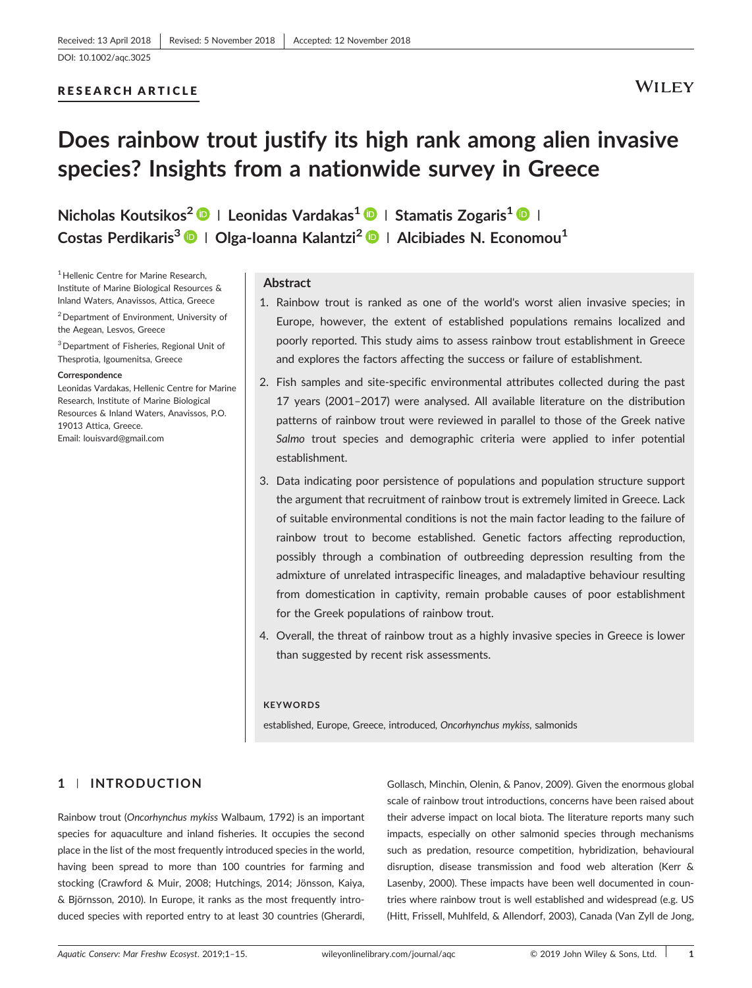## RESEARCH ARTICLE

## **WILEY**

# **Does rainbow trout justify its high rank among alien invasive species? Insights from a nationwide survey in Greece**

**Nicholas Koutsikos<sup>2</sup> <sup>|</sup> Leonidas Vardakas1 <sup>|</sup> Stamatis Zogaris1 <sup>|</sup> Costas Perdikaris3 <sup>|</sup> Olga‐Ioanna Kalantzi<sup>2</sup> <sup>|</sup> Alcibiades N. Economou<sup>1</sup>**

<sup>1</sup> Hellenic Centre for Marine Research, Institute of Marine Biological Resources & Inland Waters, Anavissos, Attica, Greece

2Department of Environment, University of the Aegean, Lesvos, Greece

<sup>3</sup> Department of Fisheries, Regional Unit of Thesprotia, Igoumenitsa, Greece

#### **Correspondence**

Leonidas Vardakas, Hellenic Centre for Marine Research, Institute of Marine Biological Resources & Inland Waters, Anavissos, P.O. 19013 Attica, Greece. Email: [louisvard@gmail.com](mailto:louisvard@gmail.com)

#### **Abstract**

- 1. Rainbow trout is ranked as one of the world's worst alien invasive species; in Europe, however, the extent of established populations remains localized and poorly reported. This study aims to assess rainbow trout establishment in Greece and explores the factors affecting the success or failure of establishment.
- 2. Fish samples and site‐specific environmental attributes collected during the past 17 years (2001–2017) were analysed. All available literature on the distribution patterns of rainbow trout were reviewed in parallel to those of the Greek native *Salmo* trout species and demographic criteria were applied to infer potential establishment.
- 3. Data indicating poor persistence of populations and population structure support the argument that recruitment of rainbow trout is extremely limited in Greece. Lack of suitable environmental conditions is not the main factor leading to the failure of rainbow trout to become established. Genetic factors affecting reproduction, possibly through a combination of outbreeding depression resulting from the admixture of unrelated intraspecific lineages, and maladaptive behaviour resulting from domestication in captivity, remain probable causes of poor establishment for the Greek populations of rainbow trout.
- 4. Overall, the threat of rainbow trout as a highly invasive species in Greece is lower than suggested by recent risk assessments.

#### **KEYWORDS**

established, Europe, Greece, introduced, *Oncorhynchus mykiss*, salmonids

## **1** | **INTRODUCTION**

Rainbow trout (*Oncorhynchus mykiss* Walbaum, 1792) is an important species for aquaculture and inland fisheries. It occupies the second place in the list of the most frequently introduced species in the world, having been spread to more than 100 countries for farming and stocking (Crawford & Muir, 2008; Hutchings, 2014; Jönsson, Kaiya, & Björnsson, 2010). In Europe, it ranks as the most frequently introduced species with reported entry to at least 30 countries (Gherardi,

Gollasch, Minchin, Olenin, & Panov, 2009). Given the enormous global scale of rainbow trout introductions, concerns have been raised about their adverse impact on local biota. The literature reports many such impacts, especially on other salmonid species through mechanisms such as predation, resource competition, hybridization, behavioural disruption, disease transmission and food web alteration (Kerr & Lasenby, 2000). These impacts have been well documented in countries where rainbow trout is well established and widespread (e.g. US (Hitt, Frissell, Muhlfeld, & Allendorf, 2003), Canada (Van Zyll de Jong,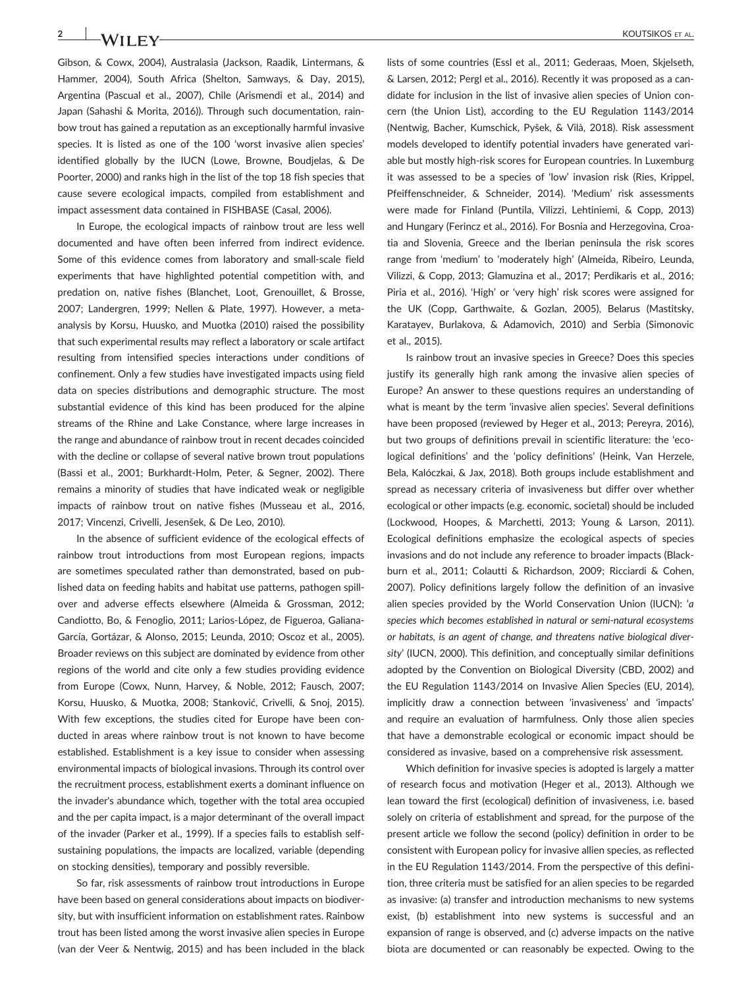Gibson, & Cowx, 2004), Australasia (Jackson, Raadik, Lintermans, & Hammer, 2004), South Africa (Shelton, Samways, & Day, 2015), Argentina (Pascual et al., 2007), Chile (Arismendi et al., 2014) and Japan (Sahashi & Morita, 2016)). Through such documentation, rainbow trout has gained a reputation as an exceptionally harmful invasive species. It is listed as one of the 100 'worst invasive alien species' identified globally by the IUCN (Lowe, Browne, Boudjelas, & De Poorter, 2000) and ranks high in the list of the top 18 fish species that cause severe ecological impacts, compiled from establishment and impact assessment data contained in FISHBASE (Casal, 2006).

In Europe, the ecological impacts of rainbow trout are less well documented and have often been inferred from indirect evidence. Some of this evidence comes from laboratory and small‐scale field experiments that have highlighted potential competition with, and predation on, native fishes (Blanchet, Loot, Grenouillet, & Brosse, 2007; Landergren, 1999; Nellen & Plate, 1997). However, a meta‐ analysis by Korsu, Huusko, and Muotka (2010) raised the possibility that such experimental results may reflect a laboratory or scale artifact resulting from intensified species interactions under conditions of confinement. Only a few studies have investigated impacts using field data on species distributions and demographic structure. The most substantial evidence of this kind has been produced for the alpine streams of the Rhine and Lake Constance, where large increases in the range and abundance of rainbow trout in recent decades coincided with the decline or collapse of several native brown trout populations (Bassi et al., 2001; Burkhardt‐Holm, Peter, & Segner, 2002). There remains a minority of studies that have indicated weak or negligible impacts of rainbow trout on native fishes (Musseau et al., 2016, 2017; Vincenzi, Crivelli, Jesenšek, & De Leo, 2010).

In the absence of sufficient evidence of the ecological effects of rainbow trout introductions from most European regions, impacts are sometimes speculated rather than demonstrated, based on published data on feeding habits and habitat use patterns, pathogen spillover and adverse effects elsewhere (Almeida & Grossman, 2012; Candiotto, Bo, & Fenoglio, 2011; Larios‐López, de Figueroa, Galiana‐ García, Gortázar, & Alonso, 2015; Leunda, 2010; Oscoz et al., 2005). Broader reviews on this subject are dominated by evidence from other regions of the world and cite only a few studies providing evidence from Europe (Cowx, Nunn, Harvey, & Noble, 2012; Fausch, 2007; Korsu, Huusko, & Muotka, 2008; Stanković, Crivelli, & Snoj, 2015). With few exceptions, the studies cited for Europe have been conducted in areas where rainbow trout is not known to have become established. Establishment is a key issue to consider when assessing environmental impacts of biological invasions. Through its control over the recruitment process, establishment exerts a dominant influence on the invader's abundance which, together with the total area occupied and the per capita impact, is a major determinant of the overall impact of the invader (Parker et al., 1999). If a species fails to establish self‐ sustaining populations, the impacts are localized, variable (depending on stocking densities), temporary and possibly reversible.

So far, risk assessments of rainbow trout introductions in Europe have been based on general considerations about impacts on biodiversity, but with insufficient information on establishment rates. Rainbow trout has been listed among the worst invasive alien species in Europe (van der Veer & Nentwig, 2015) and has been included in the black lists of some countries (Essl et al., 2011; Gederaas, Moen, Skjelseth, & Larsen, 2012; Pergl et al., 2016). Recently it was proposed as a candidate for inclusion in the list of invasive alien species of Union concern (the Union List), according to the EU Regulation 1143/2014 (Nentwig, Bacher, Kumschick, Pyšek, & Vilà, 2018). Risk assessment models developed to identify potential invaders have generated variable but mostly high‐risk scores for European countries. In Luxemburg it was assessed to be a species of 'low' invasion risk (Ries, Krippel, Pfeiffenschneider, & Schneider, 2014). 'Medium' risk assessments were made for Finland (Puntila, Vilizzi, Lehtiniemi, & Copp, 2013) and Hungary (Ferincz et al., 2016). For Bosnia and Herzegovina, Croatia and Slovenia, Greece and the Iberian peninsula the risk scores range from 'medium' to 'moderately high' (Almeida, Ribeiro, Leunda, Vilizzi, & Copp, 2013; Glamuzina et al., 2017; Perdikaris et al., 2016; Piria et al., 2016). 'High' or 'very high' risk scores were assigned for the UK (Copp, Garthwaite, & Gozlan, 2005), Belarus (Mastitsky, Karatayev, Burlakova, & Adamovich, 2010) and Serbia (Simonovic et al., 2015).

Is rainbow trout an invasive species in Greece? Does this species justify its generally high rank among the invasive alien species of Europe? An answer to these questions requires an understanding of what is meant by the term 'invasive alien species'. Several definitions have been proposed (reviewed by Heger et al., 2013; Pereyra, 2016), but two groups of definitions prevail in scientific literature: the 'ecological definitions' and the 'policy definitions' (Heink, Van Herzele, Bela, Kalóczkai, & Jax, 2018). Both groups include establishment and spread as necessary criteria of invasiveness but differ over whether ecological or other impacts (e.g. economic, societal) should be included (Lockwood, Hoopes, & Marchetti, 2013; Young & Larson, 2011). Ecological definitions emphasize the ecological aspects of species invasions and do not include any reference to broader impacts (Blackburn et al., 2011; Colautti & Richardson, 2009; Ricciardi & Cohen, 2007). Policy definitions largely follow the definition of an invasive alien species provided by the World Conservation Union (IUCN): '*a species which becomes established in natural or semi‐natural ecosystems or habitats, is an agent of change, and threatens native biological diversity*' (IUCN, 2000). This definition, and conceptually similar definitions adopted by the Convention on Biological Diversity (CBD, 2002) and the EU Regulation 1143/2014 on Invasive Alien Species (EU, 2014), implicitly draw a connection between 'invasiveness' and 'impacts' and require an evaluation of harmfulness. Only those alien species that have a demonstrable ecological or economic impact should be considered as invasive, based on a comprehensive risk assessment.

Which definition for invasive species is adopted is largely a matter of research focus and motivation (Heger et al., 2013). Although we lean toward the first (ecological) definition of invasiveness, i.e. based solely on criteria of establishment and spread, for the purpose of the present article we follow the second (policy) definition in order to be consistent with European policy for invasive allien species, as reflected in the EU Regulation 1143/2014. From the perspective of this definition, three criteria must be satisfied for an alien species to be regarded as invasive: (a) transfer and introduction mechanisms to new systems exist, (b) establishment into new systems is successful and an expansion of range is observed, and (c) adverse impacts on the native biota are documented or can reasonably be expected. Owing to the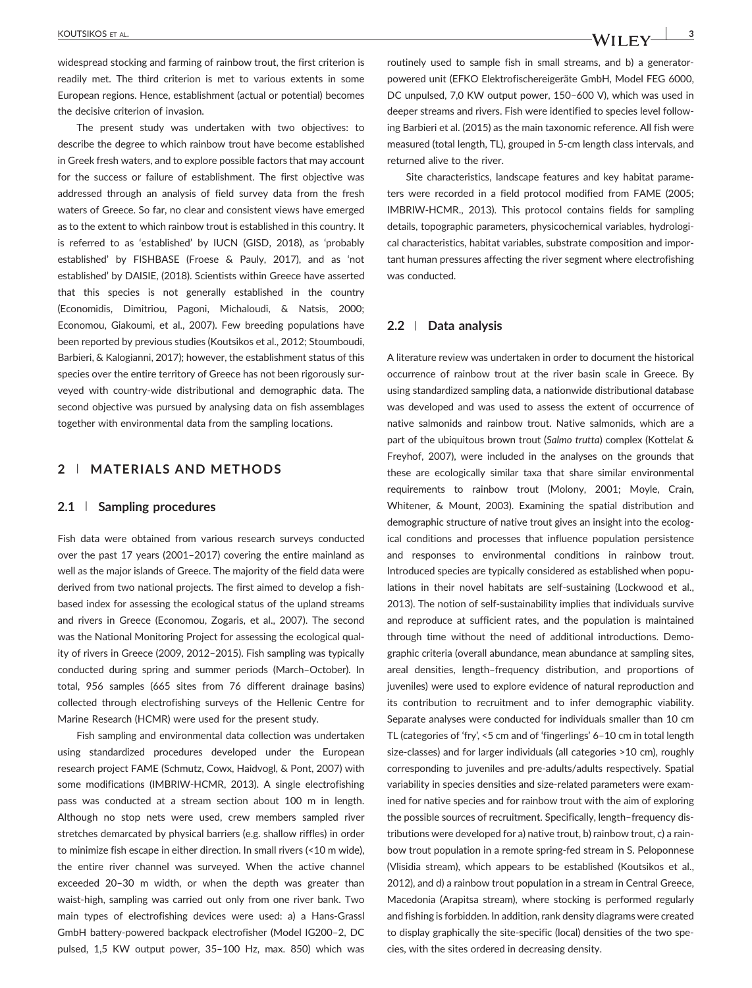widespread stocking and farming of rainbow trout, the first criterion is readily met. The third criterion is met to various extents in some European regions. Hence, establishment (actual or potential) becomes the decisive criterion of invasion.

The present study was undertaken with two objectives: to describe the degree to which rainbow trout have become established in Greek fresh waters, and to explore possible factors that may account for the success or failure of establishment. The first objective was addressed through an analysis of field survey data from the fresh waters of Greece. So far, no clear and consistent views have emerged as to the extent to which rainbow trout is established in this country. It is referred to as 'established' by IUCN (GISD, 2018), as 'probably established' by FISHBASE (Froese & Pauly, 2017), and as 'not established' by DAISIE, (2018). Scientists within Greece have asserted that this species is not generally established in the country (Economidis, Dimitriou, Pagoni, Michaloudi, & Natsis, 2000; Economou, Giakoumi, et al., 2007). Few breeding populations have been reported by previous studies (Koutsikos et al., 2012; Stoumboudi, Barbieri, & Kalogianni, 2017); however, the establishment status of this species over the entire territory of Greece has not been rigorously surveyed with country‐wide distributional and demographic data. The second objective was pursued by analysing data on fish assemblages together with environmental data from the sampling locations.

## **2** | **MATERIALS AND METHODS**

#### **2.1** | **Sampling procedures**

Fish data were obtained from various research surveys conducted over the past 17 years (2001–2017) covering the entire mainland as well as the major islands of Greece. The majority of the field data were derived from two national projects. The first aimed to develop a fish‐ based index for assessing the ecological status of the upland streams and rivers in Greece (Economou, Zogaris, et al., 2007). The second was the National Monitoring Project for assessing the ecological quality of rivers in Greece (2009, 2012–2015). Fish sampling was typically conducted during spring and summer periods (March–October). In total, 956 samples (665 sites from 76 different drainage basins) collected through electrofishing surveys of the Hellenic Centre for Marine Research (HCMR) were used for the present study.

Fish sampling and environmental data collection was undertaken using standardized procedures developed under the European research project FAME (Schmutz, Cowx, Haidvogl, & Pont, 2007) with some modifications (IMBRIW‐HCMR, 2013). A single electrofishing pass was conducted at a stream section about 100 m in length. Although no stop nets were used, crew members sampled river stretches demarcated by physical barriers (e.g. shallow riffles) in order to minimize fish escape in either direction. In small rivers (<10 m wide), the entire river channel was surveyed. When the active channel exceeded 20–30 m width, or when the depth was greater than waist-high, sampling was carried out only from one river bank. Two main types of electrofishing devices were used: a) a Hans‐Grassl GmbH battery‐powered backpack electrofisher (Model IG200–2, DC pulsed, 1,5 KW output power, 35–100 Hz, max. 850) which was routinely used to sample fish in small streams, and b) a generator‐ powered unit (EFKO Elektrofischereigeräte GmbH, Model FEG 6000, DC unpulsed, 7,0 KW output power, 150–600 V), which was used in deeper streams and rivers. Fish were identified to species level following Barbieri et al. (2015) as the main taxonomic reference. All fish were measured (total length, TL), grouped in 5‐cm length class intervals, and returned alive to the river.

Site characteristics, landscape features and key habitat parameters were recorded in a field protocol modified from FAME (2005; IMBRIW‐HCMR., 2013). This protocol contains fields for sampling details, topographic parameters, physicochemical variables, hydrological characteristics, habitat variables, substrate composition and important human pressures affecting the river segment where electrofishing was conducted.

#### **2.2** | **Data analysis**

A literature review was undertaken in order to document the historical occurrence of rainbow trout at the river basin scale in Greece. By using standardized sampling data, a nationwide distributional database was developed and was used to assess the extent of occurrence of native salmonids and rainbow trout. Native salmonids, which are a part of the ubiquitous brown trout (*Salmo trutta*) complex (Kottelat & Freyhof, 2007), were included in the analyses on the grounds that these are ecologically similar taxa that share similar environmental requirements to rainbow trout (Molony, 2001; Moyle, Crain, Whitener, & Mount, 2003). Examining the spatial distribution and demographic structure of native trout gives an insight into the ecological conditions and processes that influence population persistence and responses to environmental conditions in rainbow trout. Introduced species are typically considered as established when populations in their novel habitats are self‐sustaining (Lockwood et al., 2013). The notion of self‐sustainability implies that individuals survive and reproduce at sufficient rates, and the population is maintained through time without the need of additional introductions. Demographic criteria (overall abundance, mean abundance at sampling sites, areal densities, length–frequency distribution, and proportions of juveniles) were used to explore evidence of natural reproduction and its contribution to recruitment and to infer demographic viability. Separate analyses were conducted for individuals smaller than 10 cm TL (categories of 'fry', <5 cm and of 'fingerlings' 6–10 cm in total length size-classes) and for larger individuals (all categories >10 cm), roughly corresponding to juveniles and pre‐adults/adults respectively. Spatial variability in species densities and size‐related parameters were examined for native species and for rainbow trout with the aim of exploring the possible sources of recruitment. Specifically, length–frequency distributions were developed for a) native trout, b) rainbow trout, c) a rainbow trout population in a remote spring‐fed stream in S. Peloponnese (Vlisidia stream), which appears to be established (Koutsikos et al., 2012), and d) a rainbow trout population in a stream in Central Greece, Macedonia (Arapitsa stream), where stocking is performed regularly and fishing is forbidden. In addition, rank density diagrams were created to display graphically the site‐specific (local) densities of the two species, with the sites ordered in decreasing density.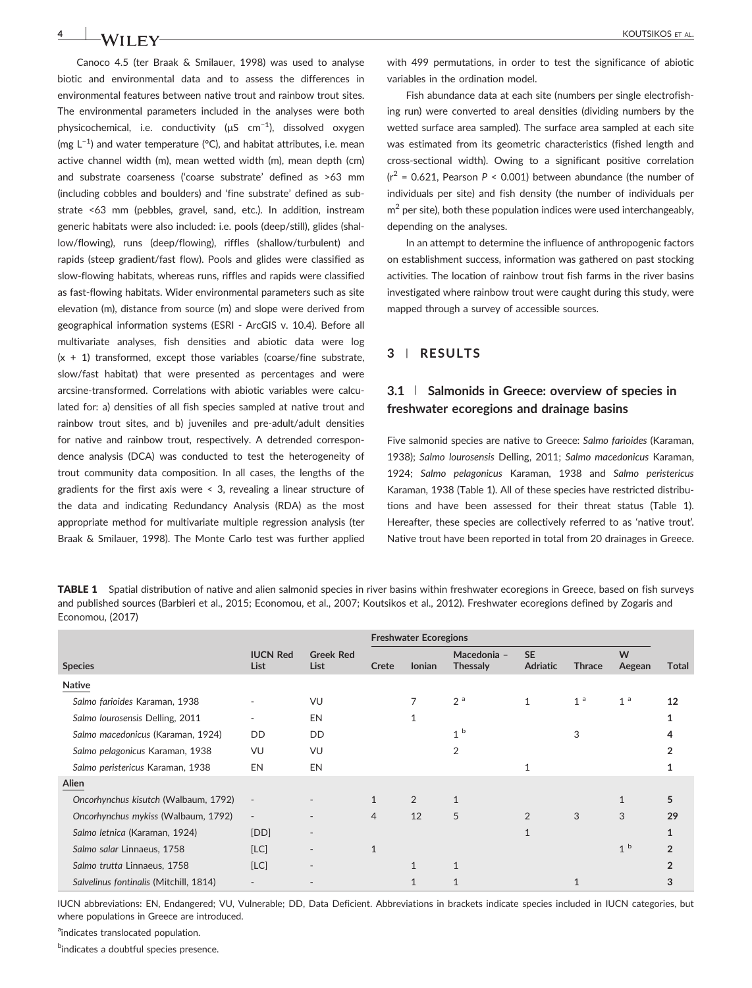Canoco 4.5 (ter Braak & Smilauer, 1998) was used to analyse biotic and environmental data and to assess the differences in environmental features between native trout and rainbow trout sites. The environmental parameters included in the analyses were both physicochemical, i.e. conductivity (μS cm<sup>-1</sup>), dissolved oxygen (mg L−1 ) and water temperature (°C), and habitat attributes, i.e. mean active channel width (m), mean wetted width (m), mean depth (cm) and substrate coarseness ('coarse substrate' defined as >63 mm (including cobbles and boulders) and 'fine substrate' defined as substrate <63 mm (pebbles, gravel, sand, etc.). In addition, instream generic habitats were also included: i.e. pools (deep/still), glides (shallow/flowing), runs (deep/flowing), riffles (shallow/turbulent) and rapids (steep gradient/fast flow). Pools and glides were classified as slow‐flowing habitats, whereas runs, riffles and rapids were classified as fast-flowing habitats. Wider environmental parameters such as site elevation (m), distance from source (m) and slope were derived from geographical information systems (ESRI ‐ ArcGIS v. 10.4). Before all multivariate analyses, fish densities and abiotic data were log  $(x + 1)$  transformed, except those variables (coarse/fine substrate, slow/fast habitat) that were presented as percentages and were arcsine‐transformed. Correlations with abiotic variables were calculated for: a) densities of all fish species sampled at native trout and rainbow trout sites, and b) juveniles and pre‐adult/adult densities for native and rainbow trout, respectively. A detrended correspondence analysis (DCA) was conducted to test the heterogeneity of trout community data composition. In all cases, the lengths of the gradients for the first axis were < 3, revealing a linear structure of the data and indicating Redundancy Analysis (RDA) as the most appropriate method for multivariate multiple regression analysis (ter Braak & Smilauer, 1998). The Monte Carlo test was further applied with 499 permutations, in order to test the significance of abiotic variables in the ordination model.

Fish abundance data at each site (numbers per single electrofishing run) were converted to areal densities (dividing numbers by the wetted surface area sampled). The surface area sampled at each site was estimated from its geometric characteristics (fished length and cross‐sectional width). Owing to a significant positive correlation  $(r^2 = 0.621$ , Pearson  $P < 0.001$ ) between abundance (the number of individuals per site) and fish density (the number of individuals per  $m<sup>2</sup>$  per site), both these population indices were used interchangeably, depending on the analyses.

In an attempt to determine the influence of anthropogenic factors on establishment success, information was gathered on past stocking activities. The location of rainbow trout fish farms in the river basins investigated where rainbow trout were caught during this study, were mapped through a survey of accessible sources.

## **3** | **RESULTS**

## **3.1** | **Salmonids in Greece: overview of species in freshwater ecoregions and drainage basins**

Five salmonid species are native to Greece: *Salmo farioides* (Karaman, 1938); *Salmo lourosensis* Delling, 2011; *Salmo macedonicus* Karaman, 1924; *Salmo pelagonicus* Karaman, 1938 and *Salmo peristericus* Karaman, 1938 (Table 1). All of these species have restricted distributions and have been assessed for their threat status (Table 1). Hereafter, these species are collectively referred to as 'native trout'. Native trout have been reported in total from 20 drainages in Greece.

TABLE 1 Spatial distribution of native and alien salmonid species in river basins within freshwater ecoregions in Greece, based on fish surveys and published sources (Barbieri et al., 2015; Economou, et al., 2007; Koutsikos et al., 2012). Freshwater ecoregions defined by Zogaris and Economou, (2017)

|                                        |                          |                                 | <b>Freshwater Ecoregions</b> |               |                                |                              |                |                |               |
|----------------------------------------|--------------------------|---------------------------------|------------------------------|---------------|--------------------------------|------------------------------|----------------|----------------|---------------|
| <b>Species</b>                         | <b>IUCN Red</b><br>List  | <b>Greek Red</b><br><b>List</b> | Crete                        | <b>lonian</b> | Macedonia -<br><b>Thessaly</b> | <b>SE</b><br><b>Adriatic</b> | <b>Thrace</b>  | W<br>Aegean    | Total         |
| <b>Native</b>                          |                          |                                 |                              |               |                                |                              |                |                |               |
| Salmo farioides Karaman, 1938          |                          | VU                              |                              |               | 2 <sup>a</sup>                 | $\mathbf{1}$                 | 1 <sup>a</sup> | 1 <sup>a</sup> | 12            |
| Salmo lourosensis Delling, 2011        |                          | EN                              |                              |               |                                |                              |                |                |               |
| Salmo macedonicus (Karaman, 1924)      | <b>DD</b>                | <b>DD</b>                       |                              |               | 1 <sup>b</sup>                 |                              | 3              |                |               |
| Salmo pelagonicus Karaman, 1938        | VU                       | VU                              |                              |               | 2                              |                              |                |                |               |
| Salmo peristericus Karaman, 1938       | EN                       | EN                              |                              |               |                                |                              |                |                |               |
| Alien                                  |                          |                                 |                              |               |                                |                              |                |                |               |
| Oncorhynchus kisutch (Walbaum, 1792)   |                          |                                 |                              | 2             | 1                              |                              |                | $\mathbf{1}$   | 5             |
| Oncorhynchus mykiss (Walbaum, 1792)    | $\overline{\phantom{a}}$ |                                 | 4                            | 12            | 5                              | 2                            | 3              | 3              | 29            |
| Salmo letnica (Karaman, 1924)          | [DD]                     |                                 |                              |               |                                | 1                            |                |                |               |
| Salmo salar Linnaeus, 1758             | [LC]                     |                                 |                              |               |                                |                              |                | 1 <sup>b</sup> | $\mathcal{P}$ |
| Salmo trutta Linnaeus, 1758            | [LC]                     |                                 |                              | $\mathbf{1}$  | $\mathbf{1}$                   |                              |                |                |               |
| Salvelinus fontinalis (Mitchill, 1814) |                          |                                 |                              |               |                                |                              |                |                |               |

IUCN abbreviations: EN, Endangered; VU, Vulnerable; DD, Data Deficient. Abbreviations in brackets indicate species included in IUCN categories, but where populations in Greece are introduced.

<sup>a</sup>indicates translocated population.

<sup>b</sup>indicates a doubtful species presence.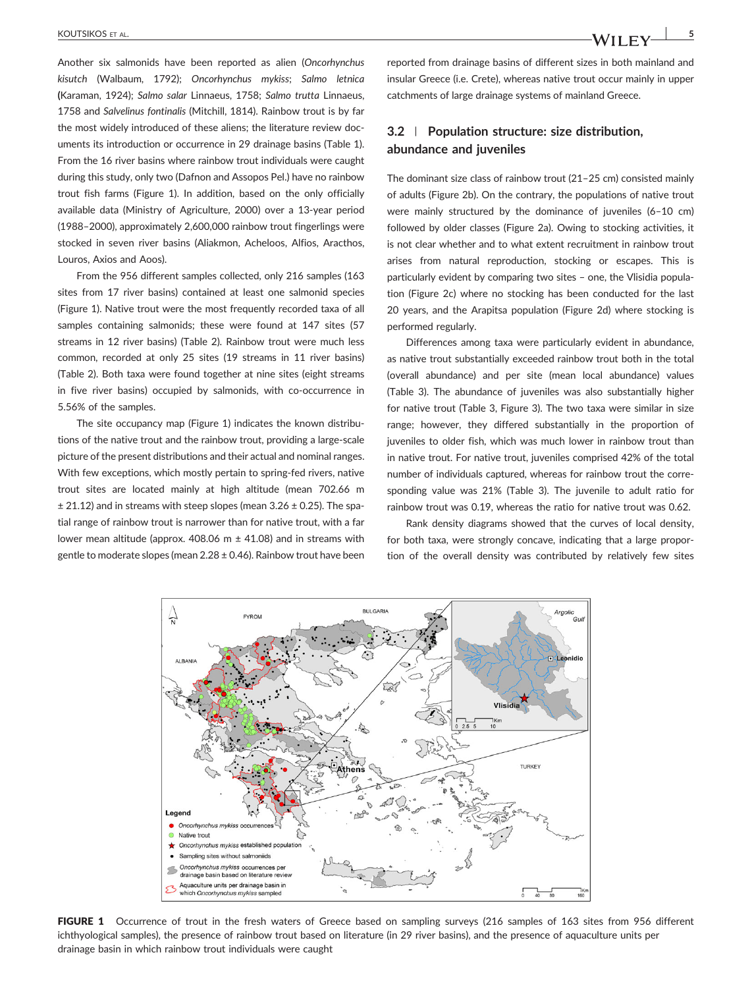Another six salmonids have been reported as alien (*Oncorhynchus kisutch* (Walbaum, 1792); *Oncorhynchus mykiss*; *Salmo letnica* **(**Karaman, 1924); *Salmo salar* Linnaeus, 1758; *Salmo trutta* Linnaeus, 1758 and *Salvelinus fontinalis* (Mitchill, 1814). Rainbow trout is by far the most widely introduced of these aliens; the literature review documents its introduction or occurrence in 29 drainage basins (Table 1). From the 16 river basins where rainbow trout individuals were caught during this study, only two (Dafnon and Assopos Pel.) have no rainbow trout fish farms (Figure 1). In addition, based on the only officially available data (Ministry of Agriculture, 2000) over a 13‐year period (1988–2000), approximately 2,600,000 rainbow trout fingerlings were stocked in seven river basins (Aliakmon, Acheloos, Alfios, Aracthos, Louros, Axios and Aoos).

From the 956 different samples collected, only 216 samples (163 sites from 17 river basins) contained at least one salmonid species (Figure 1). Native trout were the most frequently recorded taxa of all samples containing salmonids; these were found at 147 sites (57 streams in 12 river basins) (Table 2). Rainbow trout were much less common, recorded at only 25 sites (19 streams in 11 river basins) (Table 2). Both taxa were found together at nine sites (eight streams in five river basins) occupied by salmonids, with co-occurrence in 5.56% of the samples.

The site occupancy map (Figure 1) indicates the known distributions of the native trout and the rainbow trout, providing a large‐scale picture of the present distributions and their actual and nominal ranges. With few exceptions, which mostly pertain to spring-fed rivers, native trout sites are located mainly at high altitude (mean 702.66 m  $\pm$  21.12) and in streams with steep slopes (mean 3.26  $\pm$  0.25). The spatial range of rainbow trout is narrower than for native trout, with a far lower mean altitude (approx. 408.06  $m \pm 41.08$ ) and in streams with gentle to moderate slopes (mean  $2.28 \pm 0.46$ ). Rainbow trout have been reported from drainage basins of different sizes in both mainland and insular Greece (i.e. Crete), whereas native trout occur mainly in upper catchments of large drainage systems of mainland Greece.

## **3.2** | **Population structure: size distribution, abundance and juveniles**

The dominant size class of rainbow trout (21–25 cm) consisted mainly of adults (Figure 2b). On the contrary, the populations of native trout were mainly structured by the dominance of juveniles (6–10 cm) followed by older classes (Figure 2a). Owing to stocking activities, it is not clear whether and to what extent recruitment in rainbow trout arises from natural reproduction, stocking or escapes. This is particularly evident by comparing two sites – one, the Vlisidia population (Figure 2c) where no stocking has been conducted for the last 20 years, and the Arapitsa population (Figure 2d) where stocking is performed regularly.

Differences among taxa were particularly evident in abundance, as native trout substantially exceeded rainbow trout both in the total (overall abundance) and per site (mean local abundance) values (Table 3). The abundance of juveniles was also substantially higher for native trout (Table 3, Figure 3). The two taxa were similar in size range; however, they differed substantially in the proportion of juveniles to older fish, which was much lower in rainbow trout than in native trout. For native trout, juveniles comprised 42% of the total number of individuals captured, whereas for rainbow trout the corresponding value was 21% (Table 3). The juvenile to adult ratio for rainbow trout was 0.19, whereas the ratio for native trout was 0.62.

Rank density diagrams showed that the curves of local density, for both taxa, were strongly concave, indicating that a large proportion of the overall density was contributed by relatively few sites



FIGURE 1 Occurrence of trout in the fresh waters of Greece based on sampling surveys (216 samples of 163 sites from 956 different ichthyological samples), the presence of rainbow trout based on literature (in 29 river basins), and the presence of aquaculture units per drainage basin in which rainbow trout individuals were caught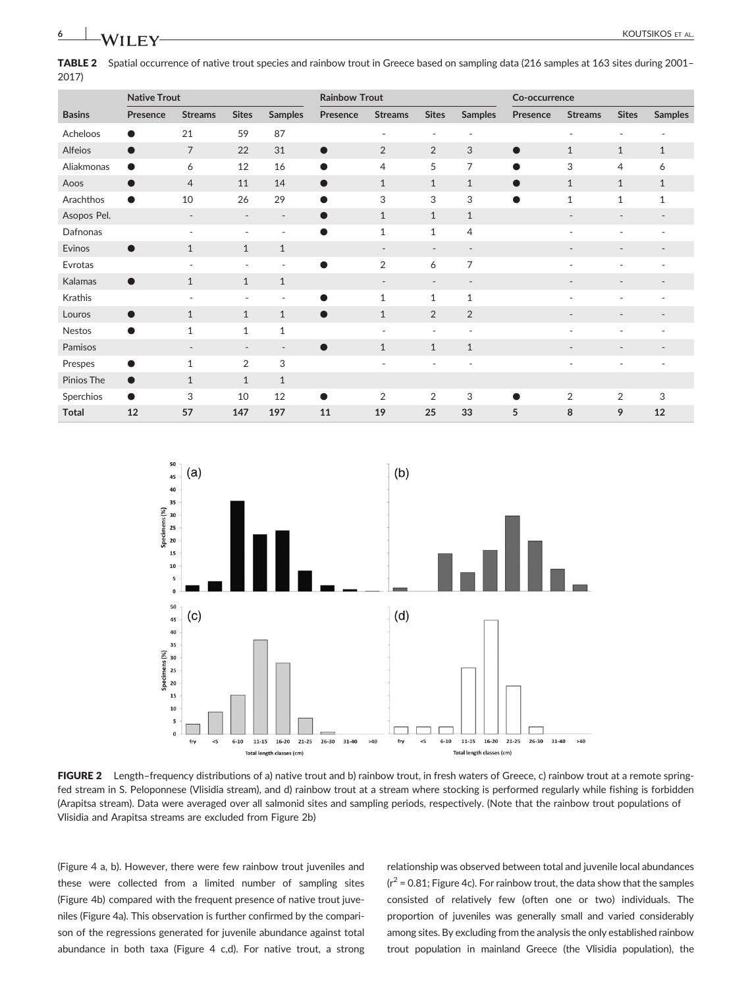TABLE 2 Spatial occurrence of native trout species and rainbow trout in Greece based on sampling data (216 samples at 163 sites during 2001– 2017)

|               | <b>Native Trout</b> |                          |                          |                          | <b>Rainbow Trout</b> |                          |                          |                          | Co-occurrence |                          |                              |                          |
|---------------|---------------------|--------------------------|--------------------------|--------------------------|----------------------|--------------------------|--------------------------|--------------------------|---------------|--------------------------|------------------------------|--------------------------|
| <b>Basins</b> | Presence            | <b>Streams</b>           | <b>Sites</b>             | <b>Samples</b>           | Presence             | <b>Streams</b>           | <b>Sites</b>             | <b>Samples</b>           | Presence      | <b>Streams</b>           | <b>Sites</b>                 | <b>Samples</b>           |
| Acheloos      | $\bullet$           | 21                       | 59                       | 87                       |                      | $\overline{\phantom{a}}$ | ٠                        | $\overline{\phantom{a}}$ |               | $\overline{\phantom{a}}$ | $\overline{\phantom{a}}$     | $\overline{\phantom{a}}$ |
| Alfeios       | $\bullet$           | $\overline{7}$           | 22                       | 31                       | $\bullet$            | $\overline{2}$           | $\overline{2}$           | 3                        | $\bullet$     | $\mathbf{1}$             | $\mathbf{1}$                 | $\mathbf{1}$             |
| Aliakmonas    | $\bullet$           | 6                        | 12                       | 16                       | $\bullet$            | $\overline{4}$           | 5                        | 7                        | $\bullet$     | 3                        | 4                            | 6                        |
| Aoos          | $\bullet$           | $\overline{4}$           | 11                       | 14                       | $\bullet$            | $\mathbf{1}$             | $\mathbf{1}$             | $\mathbf{1}$             | $\bullet$     | $\mathbf{1}$             | $\mathbf{1}$                 | $\mathbf{1}$             |
| Arachthos     | $\bullet$           | 10                       | 26                       | 29                       | $\bullet$            | 3                        | 3                        | 3                        | $\bullet$     | $\mathbf{1}$             | $\mathbf{1}$                 | $\mathbf{1}$             |
| Asopos Pel.   |                     | ٠                        | $\overline{\phantom{a}}$ | $\overline{\phantom{a}}$ | $\bullet$            | $\mathbf{1}$             | $\mathbf{1}$             | $\mathbf{1}$             |               | $\overline{\phantom{a}}$ | ٠                            | $\overline{\phantom{a}}$ |
| Dafnonas      |                     | ٠                        | $\overline{\phantom{a}}$ | $\overline{\phantom{a}}$ | $\bullet$            | $\mathbf{1}$             | $\mathbf{1}$             | $\overline{4}$           |               | $\overline{\phantom{a}}$ | ۰                            | $\overline{a}$           |
| Evinos        | $\bullet$           | $\mathbf{1}$             | $\mathbf{1}$             | $\mathbf{1}$             |                      | $\overline{\phantom{a}}$ | $\overline{\phantom{a}}$ | $\overline{\phantom{a}}$ |               | $\overline{\phantom{a}}$ | ٠                            | $\overline{\phantom{a}}$ |
| Evrotas       |                     | ٠                        | $\overline{\phantom{a}}$ | $\overline{\phantom{a}}$ |                      | $\overline{2}$           | 6                        | 7                        |               | ٠                        |                              |                          |
| Kalamas       | $\bullet$           | $\mathbf{1}$             | $\mathbf{1}$             | $\mathbf{1}$             |                      | $\overline{\phantom{a}}$ | $\overline{\phantom{a}}$ | $\overline{\phantom{a}}$ |               | $\overline{\phantom{a}}$ | $\overline{\phantom{a}}$     | $\overline{\phantom{a}}$ |
| Krathis       |                     | ٠                        | $\overline{\phantom{a}}$ | $\sim$                   | ●                    | $\mathbf{1}$             | $\mathbf{1}$             | $\mathbf{1}$             |               | ÷                        |                              |                          |
| Louros        | $\bullet$           | $\mathbf{1}$             | $\mathbf{1}$             | $\mathbf{1}$             | $\bullet$            | $\mathbf{1}$             | $\overline{2}$           | $\overline{2}$           |               |                          |                              |                          |
| <b>Nestos</b> | $\bullet$           | $\mathbf{1}$             | $\mathbf{1}$             | $\mathbf{1}$             |                      | $\overline{\phantom{a}}$ | ٠                        | $\overline{\phantom{a}}$ |               | ÷                        | ٠                            | ٠                        |
| Pamisos       |                     | $\overline{\phantom{a}}$ | $\overline{\phantom{a}}$ | $\overline{\phantom{a}}$ | $\bullet$            | $\mathbf{1}$             | $\mathbf{1}$             | $\mathbf{1}$             |               | $\overline{\phantom{a}}$ | $\qquad \qquad \blacksquare$ | $\overline{\phantom{a}}$ |
| Prespes       | $\bullet$           | $\mathbf{1}$             | $\overline{2}$           | 3                        |                      | ٠                        | ٠                        | $\sim$                   |               | ٠                        |                              |                          |
| Pinios The    | $\bullet$           | $\mathbf{1}$             | $\mathbf{1}$             | $\mathbf{1}$             |                      |                          |                          |                          |               |                          |                              |                          |
| Sperchios     | $\bullet$           | 3                        | 10                       | 12                       | ●                    | $\overline{2}$           | $\overline{2}$           | 3                        |               | $\overline{2}$           | 2                            | 3                        |
| <b>Total</b>  | 12                  | 57                       | 147                      | 197                      | 11                   | 19                       | 25                       | 33                       | 5             | 8                        | 9                            | 12                       |



FIGURE 2 Length-frequency distributions of a) native trout and b) rainbow trout, in fresh waters of Greece, c) rainbow trout at a remote springfed stream in S. Peloponnese (Vlisidia stream), and d) rainbow trout at a stream where stocking is performed regularly while fishing is forbidden (Arapitsa stream). Data were averaged over all salmonid sites and sampling periods, respectively. (Note that the rainbow trout populations of Vlisidia and Arapitsa streams are excluded from Figure 2b)

(Figure 4 a, b). However, there were few rainbow trout juveniles and these were collected from a limited number of sampling sites (Figure 4b) compared with the frequent presence of native trout juveniles (Figure 4a). This observation is further confirmed by the comparison of the regressions generated for juvenile abundance against total abundance in both taxa (Figure 4 c,d). For native trout, a strong relationship was observed between total and juvenile local abundances  $(r^2 = 0.81$ ; Figure 4c). For rainbow trout, the data show that the samples consisted of relatively few (often one or two) individuals. The proportion of juveniles was generally small and varied considerably among sites. By excluding from the analysis the only established rainbow trout population in mainland Greece (the Vlisidia population), the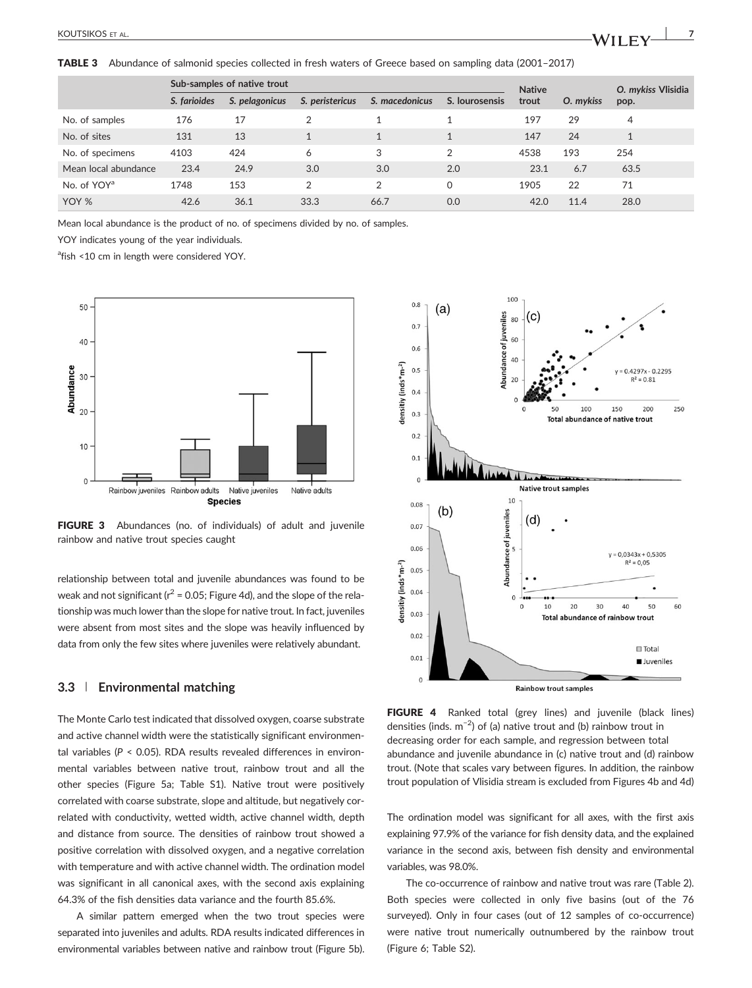TABLE 3 Abundance of salmonid species collected in fresh waters of Greece based on sampling data (2001–2017)

|                         |              | Sub-samples of native trout | <b>Native</b>   |                | O. mykiss Vlisidia      |       |           |      |  |
|-------------------------|--------------|-----------------------------|-----------------|----------------|-------------------------|-------|-----------|------|--|
|                         | S. farioides | S. pelagonicus              | S. peristericus | S. macedonicus | S. lourosensis          | trout | O. mykiss | pop. |  |
| No. of samples          | 176          | 17                          |                 |                |                         | 197   | 29        | 4    |  |
| No. of sites            | 131          | 13                          |                 |                | $\mathbf{\overline{1}}$ | 147   | 24        |      |  |
| No. of specimens        | 4103         | 424                         | 6               | 3              | 2                       | 4538  | 193       | 254  |  |
| Mean local abundance    | 23.4         | 24.9                        | 3.0             | 3.0            | 2.0                     | 23.1  | 6.7       | 63.5 |  |
| No. of YOY <sup>a</sup> | 1748         | 153                         | 2               | $\mathfrak{D}$ | 0                       | 1905  | 22        | 71   |  |
| YOY %                   | 42.6         | 36.1                        | 33.3            | 66.7           | 0.0                     | 42.0  | 11.4      | 28.0 |  |

Mean local abundance is the product of no. of specimens divided by no. of samples.

YOY indicates young of the year individuals.

<sup>a</sup>fish <10 cm in length were considered YOY.



FIGURE 3 Abundances (no. of individuals) of adult and juvenile rainbow and native trout species caught

relationship between total and juvenile abundances was found to be weak and not significant ( $r^2$  = 0.05; Figure 4d), and the slope of the relationship was much lower than the slope for native trout. In fact, juveniles were absent from most sites and the slope was heavily influenced by data from only the few sites where juveniles were relatively abundant.

#### **3.3** | **Environmental matching**

The Monte Carlo test indicated that dissolved oxygen, coarse substrate and active channel width were the statistically significant environmental variables (*P* < 0.05). RDA results revealed differences in environmental variables between native trout, rainbow trout and all the other species (Figure 5a; Table S1). Native trout were positively correlated with coarse substrate, slope and altitude, but negatively correlated with conductivity, wetted width, active channel width, depth and distance from source. The densities of rainbow trout showed a positive correlation with dissolved oxygen, and a negative correlation with temperature and with active channel width. The ordination model was significant in all canonical axes, with the second axis explaining 64.3% of the fish densities data variance and the fourth 85.6%.

A similar pattern emerged when the two trout species were separated into juveniles and adults. RDA results indicated differences in environmental variables between native and rainbow trout (Figure 5b).



FIGURE 4 Ranked total (grey lines) and juvenile (black lines) densities (inds.  $m^{-2}$ ) of (a) native trout and (b) rainbow trout in decreasing order for each sample, and regression between total abundance and juvenile abundance in (c) native trout and (d) rainbow trout. (Note that scales vary between figures. In addition, the rainbow trout population of Vlisidia stream is excluded from Figures 4b and 4d)

The ordination model was significant for all axes, with the first axis explaining 97.9% of the variance for fish density data, and the explained variance in the second axis, between fish density and environmental variables, was 98.0%.

The co-occurrence of rainbow and native trout was rare (Table 2). Both species were collected in only five basins (out of the 76 surveyed). Only in four cases (out of 12 samples of co-occurrence) were native trout numerically outnumbered by the rainbow trout (Figure 6; Table S2).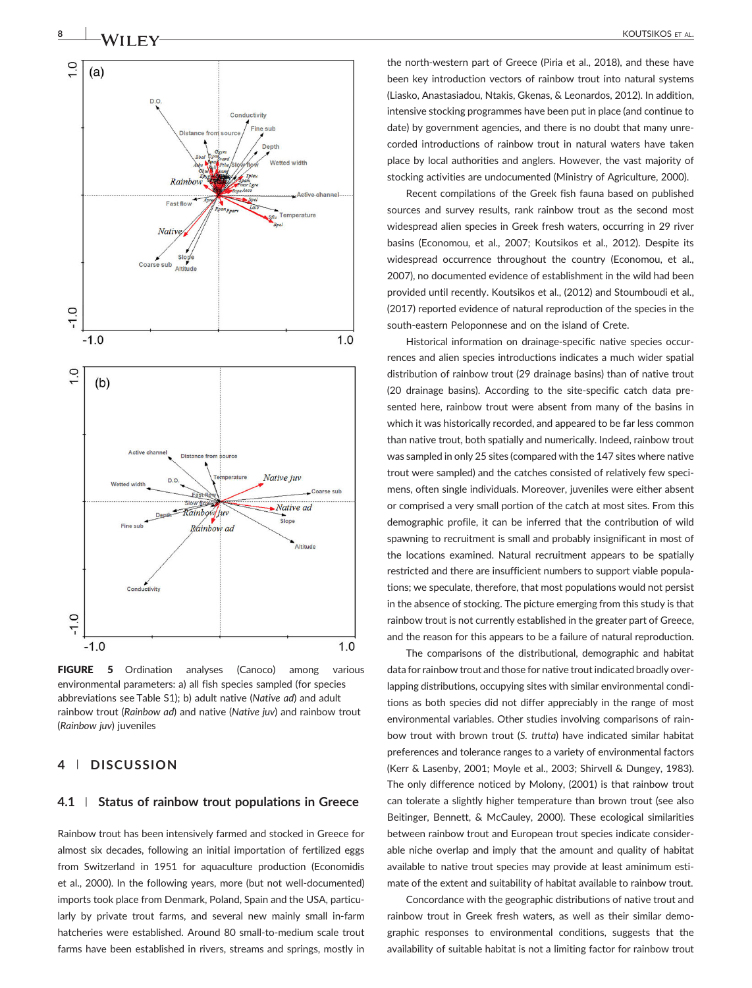

FIGURE 5 Ordination analyses (Canoco) among various environmental parameters: a) all fish species sampled (for species abbreviations see Table S1); b) adult native (*Native ad*) and adult rainbow trout (*Rainbow ad*) and native (*Native juv*) and rainbow trout (*Rainbow juv*) juveniles

## **4** | **DISCUSSION**

#### **4.1** | **Status of rainbow trout populations in Greece**

Rainbow trout has been intensively farmed and stocked in Greece for almost six decades, following an initial importation of fertilized eggs from Switzerland in 1951 for aquaculture production (Economidis et al., 2000). In the following years, more (but not well‐documented) imports took place from Denmark, Poland, Spain and the USA, particularly by private trout farms, and several new mainly small in‐farm hatcheries were established. Around 80 small‐to‐medium scale trout farms have been established in rivers, streams and springs, mostly in

the north‐western part of Greece (Piria et al., 2018), and these have been key introduction vectors of rainbow trout into natural systems (Liasko, Anastasiadou, Ntakis, Gkenas, & Leonardos, 2012). In addition, intensive stocking programmes have been put in place (and continue to date) by government agencies, and there is no doubt that many unrecorded introductions of rainbow trout in natural waters have taken place by local authorities and anglers. However, the vast majority of stocking activities are undocumented (Ministry of Agriculture, 2000).

Recent compilations of the Greek fish fauna based on published sources and survey results, rank rainbow trout as the second most widespread alien species in Greek fresh waters, occurring in 29 river basins (Economou, et al., 2007; Koutsikos et al., 2012). Despite its widespread occurrence throughout the country (Economou, et al., 2007), no documented evidence of establishment in the wild had been provided until recently. Koutsikos et al., (2012) and Stoumboudi et al., (2017) reported evidence of natural reproduction of the species in the south-eastern Peloponnese and on the island of Crete.

Historical information on drainage‐specific native species occurrences and alien species introductions indicates a much wider spatial distribution of rainbow trout (29 drainage basins) than of native trout (20 drainage basins). According to the site‐specific catch data presented here, rainbow trout were absent from many of the basins in which it was historically recorded, and appeared to be far less common than native trout, both spatially and numerically. Indeed, rainbow trout was sampled in only 25 sites (compared with the 147 sites where native trout were sampled) and the catches consisted of relatively few specimens, often single individuals. Moreover, juveniles were either absent or comprised a very small portion of the catch at most sites. From this demographic profile, it can be inferred that the contribution of wild spawning to recruitment is small and probably insignificant in most of the locations examined. Natural recruitment appears to be spatially restricted and there are insufficient numbers to support viable populations; we speculate, therefore, that most populations would not persist in the absence of stocking. The picture emerging from this study is that rainbow trout is not currently established in the greater part of Greece, and the reason for this appears to be a failure of natural reproduction.

The comparisons of the distributional, demographic and habitat data for rainbow trout and those for native trout indicated broadly overlapping distributions, occupying sites with similar environmental conditions as both species did not differ appreciably in the range of most environmental variables. Other studies involving comparisons of rainbow trout with brown trout (*S. trutta*) have indicated similar habitat preferences and tolerance ranges to a variety of environmental factors (Kerr & Lasenby, 2001; Moyle et al., 2003; Shirvell & Dungey, 1983). The only difference noticed by Molony, (2001) is that rainbow trout can tolerate a slightly higher temperature than brown trout (see also Beitinger, Bennett, & McCauley, 2000). These ecological similarities between rainbow trout and European trout species indicate considerable niche overlap and imply that the amount and quality of habitat available to native trout species may provide at least aminimum estimate of the extent and suitability of habitat available to rainbow trout.

Concordance with the geographic distributions of native trout and rainbow trout in Greek fresh waters, as well as their similar demographic responses to environmental conditions, suggests that the availability of suitable habitat is not a limiting factor for rainbow trout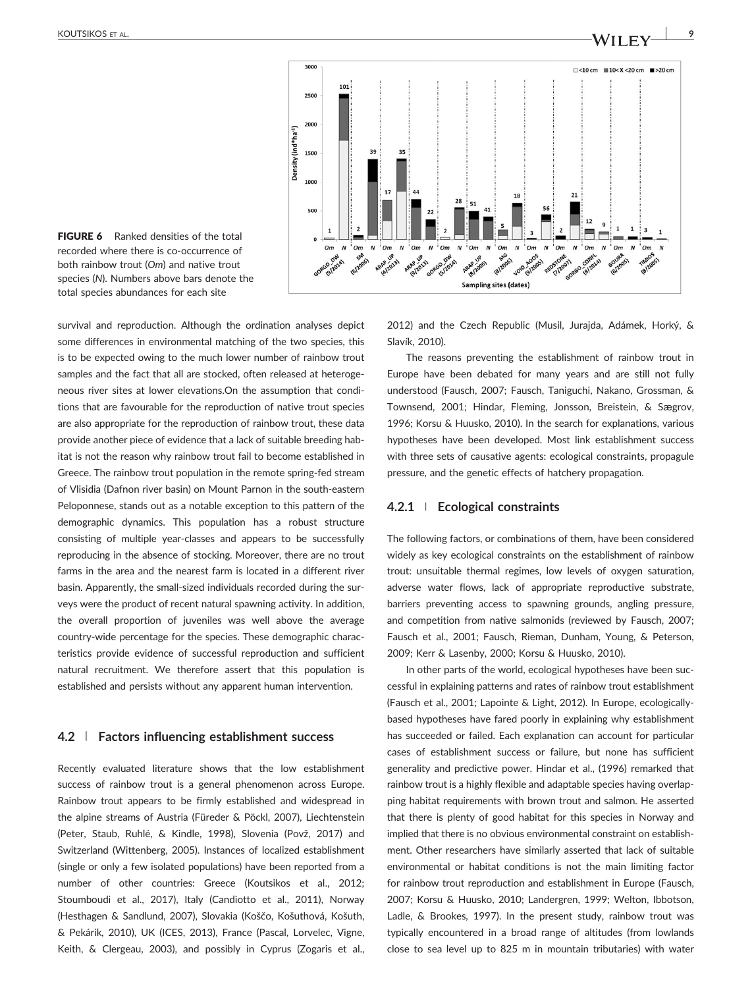3000  $\Box$  <10 cm  $\Box$  10 < X < 20 cm  $\Box$  > 20 cm  $101$ 2500 2000 Density (ind\*ha<sup>-1</sup>) 1500 1000 500  $\overline{a}$ **Om**<br>M<sup>G</sup><br>18/2006)  $\boldsymbol{\mathsf{N}}$  $^{\circ}$  om  $\boldsymbol{\mathcal{N}}$ N 0m A ARAP 1/2006) ARAP UP 1013) ORGO DW Sampling sites (dates)

FIGURE 6 Ranked densities of the total recorded where there is co‐occurrence of both rainbow trout (*Om*) and native trout species (*N*). Numbers above bars denote the total species abundances for each site

survival and reproduction. Although the ordination analyses depict some differences in environmental matching of the two species, this is to be expected owing to the much lower number of rainbow trout samples and the fact that all are stocked, often released at heterogeneous river sites at lower elevations.On the assumption that conditions that are favourable for the reproduction of native trout species are also appropriate for the reproduction of rainbow trout, these data provide another piece of evidence that a lack of suitable breeding habitat is not the reason why rainbow trout fail to become established in Greece. The rainbow trout population in the remote spring‐fed stream of Vlisidia (Dafnon river basin) on Mount Parnon in the south‐eastern Peloponnese, stands out as a notable exception to this pattern of the demographic dynamics. This population has a robust structure consisting of multiple year‐classes and appears to be successfully reproducing in the absence of stocking. Moreover, there are no trout farms in the area and the nearest farm is located in a different river basin. Apparently, the small‐sized individuals recorded during the surveys were the product of recent natural spawning activity. In addition, the overall proportion of juveniles was well above the average country‐wide percentage for the species. These demographic characteristics provide evidence of successful reproduction and sufficient natural recruitment. We therefore assert that this population is established and persists without any apparent human intervention.

## **4.2** | **Factors influencing establishment success**

Recently evaluated literature shows that the low establishment success of rainbow trout is a general phenomenon across Europe. Rainbow trout appears to be firmly established and widespread in the alpine streams of Austria (Füreder & Pöckl, 2007), Liechtenstein (Peter, Staub, Ruhlé, & Kindle, 1998), Slovenia (Povž, 2017) and Switzerland (Wittenberg, 2005). Instances of localized establishment (single or only a few isolated populations) have been reported from a number of other countries: Greece (Koutsikos et al., 2012; Stoumboudi et al., 2017), Italy (Candiotto et al., 2011), Norway (Hesthagen & Sandlund, 2007), Slovakia (Koščo, Košuthová, Košuth, & Pekárik, 2010), UK (ICES, 2013), France (Pascal, Lorvelec, Vigne, Keith, & Clergeau, 2003), and possibly in Cyprus (Zogaris et al.,

2012) and the Czech Republic (Musil, Jurajda, Adámek, Horký, & Slavík, 2010).

The reasons preventing the establishment of rainbow trout in Europe have been debated for many years and are still not fully understood (Fausch, 2007; Fausch, Taniguchi, Nakano, Grossman, & Townsend, 2001; Hindar, Fleming, Jonsson, Breistein, & Sægrov, 1996; Korsu & Huusko, 2010). In the search for explanations, various hypotheses have been developed. Most link establishment success with three sets of causative agents: ecological constraints, propagule pressure, and the genetic effects of hatchery propagation.

## **4.2.1** <sup>|</sup> **Ecological constraints**

The following factors, or combinations of them, have been considered widely as key ecological constraints on the establishment of rainbow trout: unsuitable thermal regimes, low levels of oxygen saturation, adverse water flows, lack of appropriate reproductive substrate, barriers preventing access to spawning grounds, angling pressure, and competition from native salmonids (reviewed by Fausch, 2007; Fausch et al., 2001; Fausch, Rieman, Dunham, Young, & Peterson, 2009; Kerr & Lasenby, 2000; Korsu & Huusko, 2010).

In other parts of the world, ecological hypotheses have been successful in explaining patterns and rates of rainbow trout establishment (Fausch et al., 2001; Lapointe & Light, 2012). In Europe, ecologically‐ based hypotheses have fared poorly in explaining why establishment has succeeded or failed. Each explanation can account for particular cases of establishment success or failure, but none has sufficient generality and predictive power. Hindar et al., (1996) remarked that rainbow trout is a highly flexible and adaptable species having overlapping habitat requirements with brown trout and salmon. He asserted that there is plenty of good habitat for this species in Norway and implied that there is no obvious environmental constraint on establishment. Other researchers have similarly asserted that lack of suitable environmental or habitat conditions is not the main limiting factor for rainbow trout reproduction and establishment in Europe (Fausch, 2007; Korsu & Huusko, 2010; Landergren, 1999; Welton, Ibbotson, Ladle, & Brookes, 1997). In the present study, rainbow trout was typically encountered in a broad range of altitudes (from lowlands close to sea level up to 825 m in mountain tributaries) with water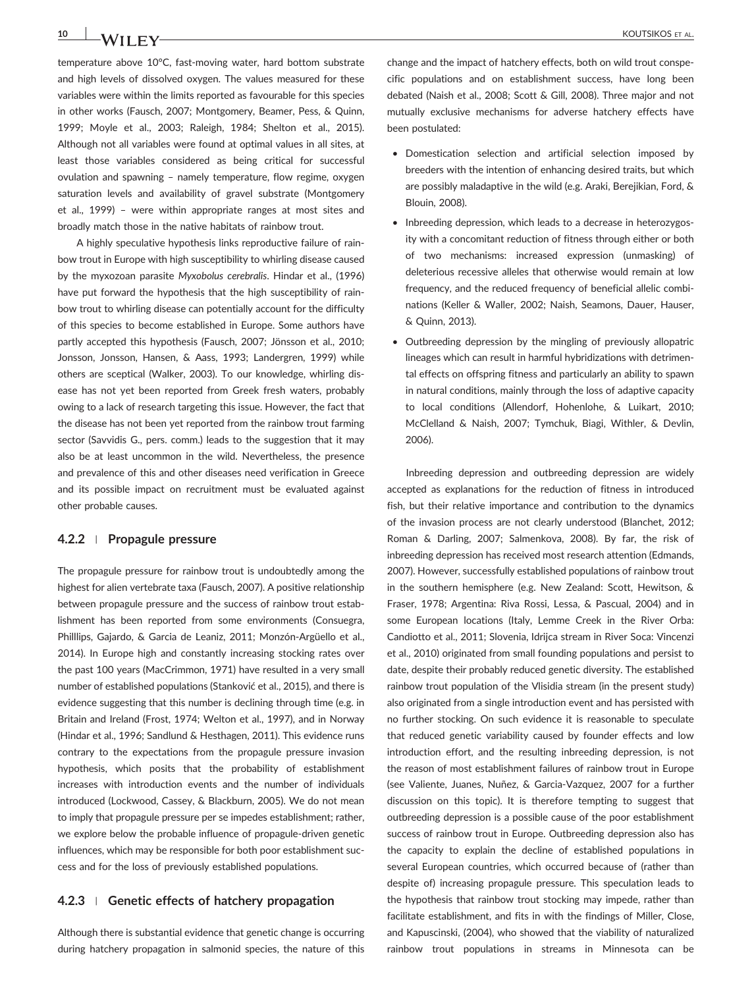**10** NA/ILENCE AL. **NAMILENCE AL. AND SET AL.** 

temperature above 10°C, fast-moving water, hard bottom substrate and high levels of dissolved oxygen. The values measured for these variables were within the limits reported as favourable for this species in other works (Fausch, 2007; Montgomery, Beamer, Pess, & Quinn, 1999; Moyle et al., 2003; Raleigh, 1984; Shelton et al., 2015). Although not all variables were found at optimal values in all sites, at least those variables considered as being critical for successful ovulation and spawning – namely temperature, flow regime, oxygen saturation levels and availability of gravel substrate (Montgomery et al., 1999) – were within appropriate ranges at most sites and broadly match those in the native habitats of rainbow trout.

A highly speculative hypothesis links reproductive failure of rainbow trout in Europe with high susceptibility to whirling disease caused by the myxozoan parasite *Myxobolus cerebralis*. Hindar et al., (1996) have put forward the hypothesis that the high susceptibility of rainbow trout to whirling disease can potentially account for the difficulty of this species to become established in Europe. Some authors have partly accepted this hypothesis (Fausch, 2007; Jönsson et al., 2010; Jonsson, Jonsson, Hansen, & Aass, 1993; Landergren, 1999) while others are sceptical (Walker, 2003). To our knowledge, whirling disease has not yet been reported from Greek fresh waters, probably owing to a lack of research targeting this issue. However, the fact that the disease has not been yet reported from the rainbow trout farming sector (Savvidis G., pers. comm.) leads to the suggestion that it may also be at least uncommon in the wild. Nevertheless, the presence and prevalence of this and other diseases need verification in Greece and its possible impact on recruitment must be evaluated against other probable causes.

## **4.2.2** <sup>|</sup> **Propagule pressure**

The propagule pressure for rainbow trout is undoubtedly among the highest for alien vertebrate taxa (Fausch, 2007). A positive relationship between propagule pressure and the success of rainbow trout establishment has been reported from some environments (Consuegra, Philllips, Gajardo, & Garcia de Leaniz, 2011; Monzón‐Argüello et al., 2014). In Europe high and constantly increasing stocking rates over the past 100 years (MacCrimmon, 1971) have resulted in a very small number of established populations (Stanković et al., 2015), and there is evidence suggesting that this number is declining through time (e.g. in Britain and Ireland (Frost, 1974; Welton et al., 1997), and in Norway (Hindar et al., 1996; Sandlund & Hesthagen, 2011). This evidence runs contrary to the expectations from the propagule pressure invasion hypothesis, which posits that the probability of establishment increases with introduction events and the number of individuals introduced (Lockwood, Cassey, & Blackburn, 2005). We do not mean to imply that propagule pressure per se impedes establishment; rather, we explore below the probable influence of propagule‐driven genetic influences, which may be responsible for both poor establishment success and for the loss of previously established populations.

## **4.2.3** <sup>|</sup> **Genetic effects of hatchery propagation**

Although there is substantial evidence that genetic change is occurring during hatchery propagation in salmonid species, the nature of this change and the impact of hatchery effects, both on wild trout conspecific populations and on establishment success, have long been debated (Naish et al., 2008; Scott & Gill, 2008). Three major and not mutually exclusive mechanisms for adverse hatchery effects have been postulated:

- Domestication selection and artificial selection imposed by breeders with the intention of enhancing desired traits, but which are possibly maladaptive in the wild (e.g. Araki, Berejikian, Ford, & Blouin, 2008).
- Inbreeding depression, which leads to a decrease in heterozygosity with a concomitant reduction of fitness through either or both of two mechanisms: increased expression (unmasking) of deleterious recessive alleles that otherwise would remain at low frequency, and the reduced frequency of beneficial allelic combinations (Keller & Waller, 2002; Naish, Seamons, Dauer, Hauser, & Quinn, 2013).
- Outbreeding depression by the mingling of previously allopatric lineages which can result in harmful hybridizations with detrimental effects on offspring fitness and particularly an ability to spawn in natural conditions, mainly through the loss of adaptive capacity to local conditions (Allendorf, Hohenlohe, & Luikart, 2010; McClelland & Naish, 2007; Tymchuk, Biagi, Withler, & Devlin, 2006).

Inbreeding depression and outbreeding depression are widely accepted as explanations for the reduction of fitness in introduced fish, but their relative importance and contribution to the dynamics of the invasion process are not clearly understood (Blanchet, 2012; Roman & Darling, 2007; Salmenkova, 2008). By far, the risk of inbreeding depression has received most research attention (Edmands, 2007). However, successfully established populations of rainbow trout in the southern hemisphere (e.g. New Zealand: Scott, Hewitson, & Fraser, 1978; Argentina: Riva Rossi, Lessa, & Pascual, 2004) and in some European locations (Italy, Lemme Creek in the River Orba: Candiotto et al., 2011; Slovenia, Idrijca stream in River Soca: Vincenzi et al., 2010) originated from small founding populations and persist to date, despite their probably reduced genetic diversity. The established rainbow trout population of the Vlisidia stream (in the present study) also originated from a single introduction event and has persisted with no further stocking. On such evidence it is reasonable to speculate that reduced genetic variability caused by founder effects and low introduction effort, and the resulting inbreeding depression, is not the reason of most establishment failures of rainbow trout in Europe (see Valiente, Juanes, Nuñez, & Garcia‐Vazquez, 2007 for a further discussion on this topic). It is therefore tempting to suggest that outbreeding depression is a possible cause of the poor establishment success of rainbow trout in Europe. Outbreeding depression also has the capacity to explain the decline of established populations in several European countries, which occurred because of (rather than despite of) increasing propagule pressure. This speculation leads to the hypothesis that rainbow trout stocking may impede, rather than facilitate establishment, and fits in with the findings of Miller, Close, and Kapuscinski, (2004), who showed that the viability of naturalized rainbow trout populations in streams in Minnesota can be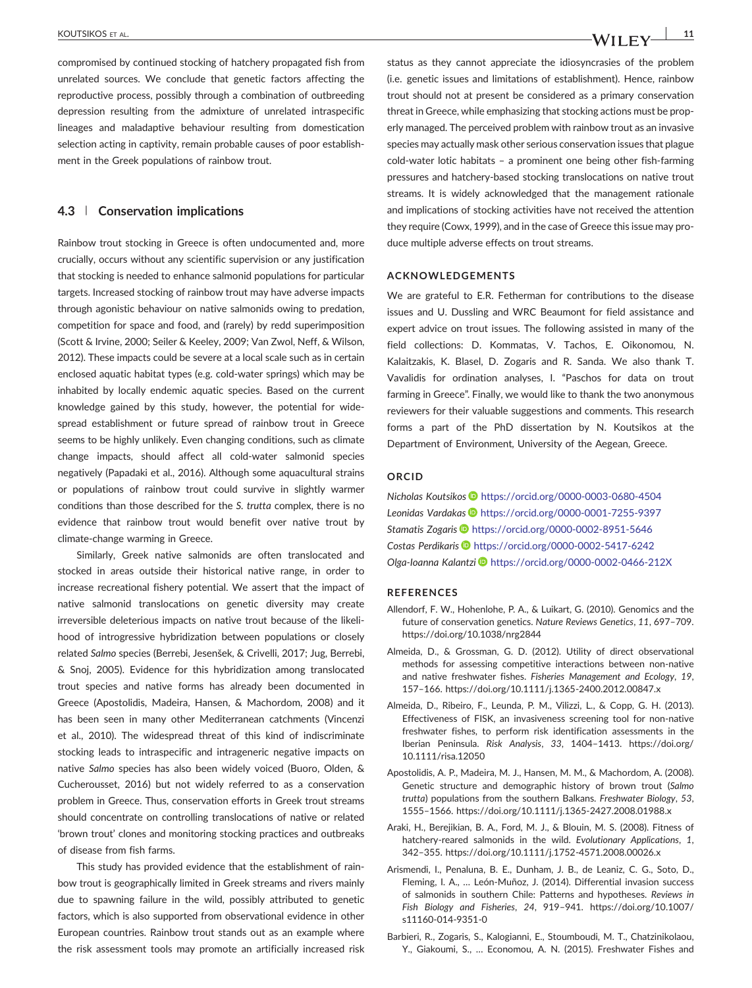compromised by continued stocking of hatchery propagated fish from unrelated sources. We conclude that genetic factors affecting the reproductive process, possibly through a combination of outbreeding depression resulting from the admixture of unrelated intraspecific lineages and maladaptive behaviour resulting from domestication selection acting in captivity, remain probable causes of poor establishment in the Greek populations of rainbow trout.

## **4.3** | **Conservation implications**

Rainbow trout stocking in Greece is often undocumented and, more crucially, occurs without any scientific supervision or any justification that stocking is needed to enhance salmonid populations for particular targets. Increased stocking of rainbow trout may have adverse impacts through agonistic behaviour on native salmonids owing to predation, competition for space and food, and (rarely) by redd superimposition (Scott & Irvine, 2000; Seiler & Keeley, 2009; Van Zwol, Neff, & Wilson, 2012). These impacts could be severe at a local scale such as in certain enclosed aquatic habitat types (e.g. cold‐water springs) which may be inhabited by locally endemic aquatic species. Based on the current knowledge gained by this study, however, the potential for widespread establishment or future spread of rainbow trout in Greece seems to be highly unlikely. Even changing conditions, such as climate change impacts, should affect all cold‐water salmonid species negatively (Papadaki et al., 2016). Although some aquacultural strains or populations of rainbow trout could survive in slightly warmer conditions than those described for the *S. trutta* complex, there is no evidence that rainbow trout would benefit over native trout by climate‐change warming in Greece.

Similarly, Greek native salmonids are often translocated and stocked in areas outside their historical native range, in order to increase recreational fishery potential. We assert that the impact of native salmonid translocations on genetic diversity may create irreversible deleterious impacts on native trout because of the likelihood of introgressive hybridization between populations or closely related *Salmo* species (Berrebi, Jesenšek, & Crivelli, 2017; Jug, Berrebi, & Snoj, 2005). Evidence for this hybridization among translocated trout species and native forms has already been documented in Greece (Apostolidis, Madeira, Hansen, & Machordom, 2008) and it has been seen in many other Mediterranean catchments (Vincenzi et al., 2010). The widespread threat of this kind of indiscriminate stocking leads to intraspecific and intrageneric negative impacts on native *Salmo* species has also been widely voiced (Buoro, Olden, & Cucherousset, 2016) but not widely referred to as a conservation problem in Greece. Thus, conservation efforts in Greek trout streams should concentrate on controlling translocations of native or related 'brown trout' clones and monitoring stocking practices and outbreaks of disease from fish farms.

This study has provided evidence that the establishment of rainbow trout is geographically limited in Greek streams and rivers mainly due to spawning failure in the wild, possibly attributed to genetic factors, which is also supported from observational evidence in other European countries. Rainbow trout stands out as an example where the risk assessment tools may promote an artificially increased risk status as they cannot appreciate the idiosyncrasies of the problem (i.e. genetic issues and limitations of establishment). Hence, rainbow trout should not at present be considered as a primary conservation threat in Greece, while emphasizing that stocking actions must be properly managed. The perceived problem with rainbow trout as an invasive species may actually mask other serious conservation issues that plague cold‐water lotic habitats – a prominent one being other fish‐farming pressures and hatchery‐based stocking translocations on native trout streams. It is widely acknowledged that the management rationale and implications of stocking activities have not received the attention they require (Cowx, 1999), and in the case of Greece this issue may produce multiple adverse effects on trout streams.

#### **ACKNOWLEDGEMENTS**

We are grateful to E.R. Fetherman for contributions to the disease issues and U. Dussling and WRC Beaumont for field assistance and expert advice on trout issues. The following assisted in many of the field collections: D. Kommatas, V. Tachos, E. Oikonomou, N. Kalaitzakis, K. Blasel, D. Zogaris and R. Sanda. We also thank T. Vavalidis for ordination analyses, I. "Paschos for data on trout farming in Greece". Finally, we would like to thank the two anonymous reviewers for their valuable suggestions and comments. This research forms a part of the PhD dissertation by N. Koutsikos at the Department of Environment, University of the Aegean, Greece.

#### **ORCID**

*Nicholas Koutsikos* <https://orcid.org/0000-0003-0680-4504> *Leonidas Vardakas* <https://orcid.org/0000-0001-7255-9397> *Stamatis Zogaris* <https://orcid.org/0000-0002-8951-5646> *Costas Perdikaris* <https://orcid.org/0000-0002-5417-6242> *Olga‐Ioanna Kalantzi* <https://orcid.org/0000-0002-0466-212X>

#### **REFERENCES**

- Allendorf, F. W., Hohenlohe, P. A., & Luikart, G. (2010). Genomics and the future of conservation genetics. *Nature Reviews Genetics*, *11*, 697–709. <https://doi.org/10.1038/nrg2844>
- Almeida, D., & Grossman, G. D. (2012). Utility of direct observational methods for assessing competitive interactions between non-native and native freshwater fishes. *Fisheries Management and Ecology*, *19*, 157–166. [https://doi.org/10.1111/j.1365](https://doi.org/10.1111/j.1365-2400.2012.00847.x)‐2400.2012.00847.x
- Almeida, D., Ribeiro, F., Leunda, P. M., Vilizzi, L., & Copp, G. H. (2013). Effectiveness of FISK, an invasiveness screening tool for non‐native freshwater fishes, to perform risk identification assessments in the Iberian Peninsula. *Risk Analysis*, *33*, 1404–1413. [https://doi.org/](https://doi.org/10.1111/risa.12050) [10.1111/risa.12050](https://doi.org/10.1111/risa.12050)
- Apostolidis, A. P., Madeira, M. J., Hansen, M. M., & Machordom, A. (2008). Genetic structure and demographic history of brown trout (*Salmo trutta*) populations from the southern Balkans. *Freshwater Biology*, *53*, 1555–1566. [https://doi.org/10.1111/j.1365](https://doi.org/10.1111/j.1365-2427.2008.01988.x)‐2427.2008.01988.x
- Araki, H., Berejikian, B. A., Ford, M. J., & Blouin, M. S. (2008). Fitness of hatchery‐reared salmonids in the wild. *Evolutionary Applications*, *1*, 342–355. [https://doi.org/10.1111/j.1752](https://doi.org/10.1111/j.1752-4571.2008.00026.x)‐4571.2008.00026.x
- Arismendi, I., Penaluna, B. E., Dunham, J. B., de Leaniz, C. G., Soto, D., Fleming, I. A., … León‐Muñoz, J. (2014). Differential invasion success of salmonids in southern Chile: Patterns and hypotheses. *Reviews in Fish Biology and Fisheries*, *24*, 919–941. [https://doi.org/10.1007/](https://doi.org/10.1007/s11160-014-9351-0) [s11160](https://doi.org/10.1007/s11160-014-9351-0)‐014‐9351‐0
- Barbieri, R., Zogaris, S., Kalogianni, E., Stoumboudi, M. T., Chatzinikolaou, Y., Giakoumi, S., … Economou, A. N. (2015). Freshwater Fishes and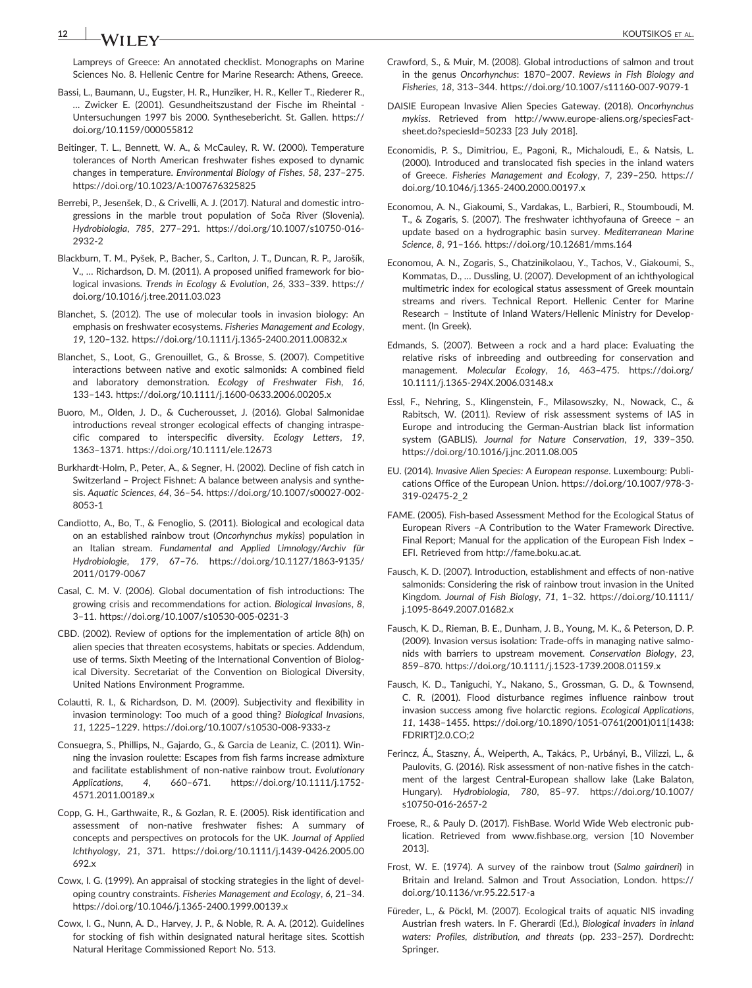# **12** KOUTSIKOS ET AL.

Lampreys of Greece: An annotated checklist. Monographs on Marine Sciences No. 8. Hellenic Centre for Marine Research: Athens, Greece.

- Bassi, L., Baumann, U., Eugster, H. R., Hunziker, H. R., Keller T., Riederer R., … Zwicker E. (2001). Gesundheitszustand der Fische im Rheintal ‐ Untersuchungen 1997 bis 2000. Synthesebericht. St. Gallen. [https://](https://doi.org/10.1159/000055812) [doi.org/10.1159/000055812](https://doi.org/10.1159/000055812)
- Beitinger, T. L., Bennett, W. A., & McCauley, R. W. (2000). Temperature tolerances of North American freshwater fishes exposed to dynamic changes in temperature. *Environmental Biology of Fishes*, *58*, 237–275. <https://doi.org/10.1023/A:1007676325825>
- Berrebi, P., Jesenšek, D., & Crivelli, A. J. (2017). Natural and domestic introgressions in the marble trout population of Soča River (Slovenia). *Hydrobiologia*, *785*, 277–291. [https://doi.org/10.1007/s10750](https://doi.org/10.1007/s10750-016-2932-2)‐016‐ [2932](https://doi.org/10.1007/s10750-016-2932-2)‐2
- Blackburn, T. M., Pyšek, P., Bacher, S., Carlton, J. T., Duncan, R. P., Jarošík, V., … Richardson, D. M. (2011). A proposed unified framework for biological invasions. *Trends in Ecology & Evolution*, *26*, 333–339. [https://](https://doi.org/10.1016/j.tree.2011.03.023) [doi.org/10.1016/j.tree.2011.03.023](https://doi.org/10.1016/j.tree.2011.03.023)
- Blanchet, S. (2012). The use of molecular tools in invasion biology: An emphasis on freshwater ecosystems. *Fisheries Management and Ecology*, *19*, 120–132. [https://doi.org/10.1111/j.1365](https://doi.org/10.1111/j.1365-2400.2011.00832.x)‐2400.2011.00832.x
- Blanchet, S., Loot, G., Grenouillet, G., & Brosse, S. (2007). Competitive interactions between native and exotic salmonids: A combined field and laboratory demonstration. *Ecology of Freshwater Fish*, *16*, 133–143. [https://doi.org/10.1111/j.1600](https://doi.org/10.1111/j.1600-0633.2006.00205.x)‐0633.2006.00205.x
- Buoro, M., Olden, J. D., & Cucherousset, J. (2016). Global Salmonidae introductions reveal stronger ecological effects of changing intraspecific compared to interspecific diversity. *Ecology Letters*, *19*, 1363–1371.<https://doi.org/10.1111/ele.12673>
- Burkhardt‐Holm, P., Peter, A., & Segner, H. (2002). Decline of fish catch in Switzerland – Project Fishnet: A balance between analysis and synthesis. *Aquatic Sciences*, *64*, 36–54. [https://doi.org/10.1007/s00027](https://doi.org/10.1007/s00027-002-8053-1)‐002‐ [8053](https://doi.org/10.1007/s00027-002-8053-1)‐1
- Candiotto, A., Bo, T., & Fenoglio, S. (2011). Biological and ecological data on an established rainbow trout (*Oncorhynchus mykiss*) population in an Italian stream. *Fundamental and Applied Limnology/Archiv für Hydrobiologie*, *179*, 67–76. [https://doi.org/10.1127/1863](https://doi.org/10.1127/1863-9135/2011/0179-0067)‐9135/ [2011/0179](https://doi.org/10.1127/1863-9135/2011/0179-0067)‐0067
- Casal, C. M. V. (2006). Global documentation of fish introductions: The growing crisis and recommendations for action. *Biological Invasions*, *8*, 3–11. [https://doi.org/10.1007/s10530](https://doi.org/10.1007/s10530-005-0231-3)‐005‐0231‐3
- CBD. (2002). Review of options for the implementation of article 8(h) on alien species that threaten ecosystems, habitats or species. Addendum, use of terms. Sixth Meeting of the International Convention of Biological Diversity. Secretariat of the Convention on Biological Diversity, United Nations Environment Programme.
- Colautti, R. I., & Richardson, D. M. (2009). Subjectivity and flexibility in invasion terminology: Too much of a good thing? *Biological Invasions*, *11*, 1225–1229. [https://doi.org/10.1007/s10530](https://doi.org/10.1007/s10530-008-9333-z)‐008‐9333‐z
- Consuegra, S., Phillips, N., Gajardo, G., & Garcia de Leaniz, C. (2011). Winning the invasion roulette: Escapes from fish farms increase admixture and facilitate establishment of non‐native rainbow trout. *Evolutionary Applications*, *4*, 660–671. [https://doi.org/10.1111/j.1752](https://doi.org/10.1111/j.1752-4571.2011.00189.x)‐ [4571.2011.00189.x](https://doi.org/10.1111/j.1752-4571.2011.00189.x)
- Copp, G. H., Garthwaite, R., & Gozlan, R. E. (2005). Risk identification and assessment of non‐native freshwater fishes: A summary of concepts and perspectives on protocols for the UK. *Journal of Applied Ichthyology*, *21*, 371. [https://doi.org/10.1111/j.1439](https://doi.org/10.1111/j.1439-0426.2005.00692.x)‐0426.2005.00 [692.x](https://doi.org/10.1111/j.1439-0426.2005.00692.x)
- Cowx, I. G. (1999). An appraisal of stocking strategies in the light of developing country constraints. *Fisheries Management and Ecology*, *6*, 21–34. [https://doi.org/10.1046/j.1365](https://doi.org/10.1046/j.1365-2400.1999.00139.x)‐2400.1999.00139.x
- Cowx, I. G., Nunn, A. D., Harvey, J. P., & Noble, R. A. A. (2012). Guidelines for stocking of fish within designated natural heritage sites. Scottish Natural Heritage Commissioned Report No. 513.
- Crawford, S., & Muir, M. (2008). Global introductions of salmon and trout in the genus *Oncorhynchus*: 1870–2007. *Reviews in Fish Biology and Fisheries*, *18*, 313–344. [https://doi.org/10.1007/s11160](https://doi.org/10.1007/s11160-007-9079-1)‐007‐9079‐1
- DAISIE European Invasive Alien Species Gateway. (2018). *Oncorhynchus mykiss*. Retrieved from [http://www.europe-aliens.org/speciesFact](http://www.europe-aliens.org/speciesFactsheet.do?speciesId=50233)[sheet.do?speciesId=50233](http://www.europe-aliens.org/speciesFactsheet.do?speciesId=50233) [23 July 2018].
- Economidis, P. S., Dimitriou, E., Pagoni, R., Michaloudi, E., & Natsis, L. (2000). Introduced and translocated fish species in the inland waters of Greece. *Fisheries Management and Ecology*, *7*, 239–250. [https://](https://doi.org/10.1046/j.1365-2400.2000.00197.x) [doi.org/10.1046/j.1365](https://doi.org/10.1046/j.1365-2400.2000.00197.x)‐2400.2000.00197.x
- Economou, A. N., Giakoumi, S., Vardakas, L., Barbieri, R., Stoumboudi, M. T., & Zogaris, S. (2007). The freshwater ichthyofauna of Greece – an update based on a hydrographic basin survey. *Mediterranean Marine Science*, *8*, 91–166.<https://doi.org/10.12681/mms.164>
- Economou, A. N., Zogaris, S., Chatzinikolaou, Y., Tachos, V., Giakoumi, S., Kommatas, D., … Dussling, U. (2007). Development of an ichthyological multimetric index for ecological status assessment of Greek mountain streams and rivers. Technical Report. Hellenic Center for Marine Research – Institute of Inland Waters/Hellenic Ministry for Development. (In Greek).
- Edmands, S. (2007). Between a rock and a hard place: Evaluating the relative risks of inbreeding and outbreeding for conservation and management. *Molecular Ecology*, *16*, 463–475. [https://doi.org/](https://doi.org/10.1111/j.1365-294X.2006.03148.x) 10.1111/j.1365‐[294X.2006.03148.x](https://doi.org/10.1111/j.1365-294X.2006.03148.x)
- Essl, F., Nehring, S., Klingenstein, F., Milasowszky, N., Nowack, C., & Rabitsch, W. (2011). Review of risk assessment systems of IAS in Europe and introducing the German‐Austrian black list information system (GABLIS). *Journal for Nature Conservation*, *19*, 339–350. <https://doi.org/10.1016/j.jnc.2011.08.005>
- EU. (2014). *Invasive Alien Species: A European response*. Luxembourg: Publications Office of the European Union. [https://doi.org/10.1007/978](https://doi.org/10.1007/978-3-319-02475-2_2)‐3‐ 319‐[02475](https://doi.org/10.1007/978-3-319-02475-2_2)‐2\_2
- FAME. (2005). Fish‐based Assessment Method for the Ecological Status of European Rivers –A Contribution to the Water Framework Directive. Final Report; Manual for the application of the European Fish Index – EFI. Retrieved from [http://fame.boku.ac.at.](http://fame.boku.ac.at)
- Fausch, K. D. (2007). Introduction, establishment and effects of non‐native salmonids: Considering the risk of rainbow trout invasion in the United Kingdom. *Journal of Fish Biology*, *71*, 1–32. [https://doi.org/10.1111/](https://doi.org/10.1111/j.1095-8649.2007.01682.x) j.1095‐[8649.2007.01682.x](https://doi.org/10.1111/j.1095-8649.2007.01682.x)
- Fausch, K. D., Rieman, B. E., Dunham, J. B., Young, M. K., & Peterson, D. P. (2009). Invasion versus isolation: Trade‐offs in managing native salmonids with barriers to upstream movement. *Conservation Biology*, *23*, 859–870. [https://doi.org/10.1111/j.1523](https://doi.org/10.1111/j.1523-1739.2008.01159.x)‐1739.2008.01159.x
- Fausch, K. D., Taniguchi, Y., Nakano, S., Grossman, G. D., & Townsend, C. R. (2001). Flood disturbance regimes influence rainbow trout invasion success among five holarctic regions. *Ecological Applications*, *11*, 1438–1455. [https://doi.org/10.1890/1051](https://doi.org/10.1890/1051-0761(2001)011%5b1438:FDRIRT%5d2.0.CO;2)‐0761(2001)011[1438: [FDRIRT\]2.0.CO;2](https://doi.org/10.1890/1051-0761(2001)011%5b1438:FDRIRT%5d2.0.CO;2)
- Ferincz, Á., Staszny, Á., Weiperth, A., Takács, P., Urbányi, B., Vilizzi, L., & Paulovits, G. (2016). Risk assessment of non‐native fishes in the catchment of the largest Central‐European shallow lake (Lake Balaton, Hungary). *Hydrobiologia*, *780*, 85–97. [https://doi.org/10.1007/](https://doi.org/10.1007/s10750-016-2657-2) [s10750](https://doi.org/10.1007/s10750-016-2657-2)‐016‐2657‐2
- Froese, R., & Pauly D. (2017). FishBase. World Wide Web electronic publication. Retrieved from [www.fishbase.org](http://www.fishbase.org), version [10 November 2013].
- Frost, W. E. (1974). A survey of the rainbow trout (*Salmo gairdneri*) in Britain and Ireland. Salmon and Trout Association, London. [https://](https://doi.org/10.1136/vr.95.22.517-a) [doi.org/10.1136/vr.95.22.517](https://doi.org/10.1136/vr.95.22.517-a)‐a
- Füreder, L., & Pöckl, M. (2007). Ecological traits of aquatic NIS invading Austrian fresh waters. In F. Gherardi (Ed.), *Biological invaders in inland waters: Profiles, distribution, and threats* (pp. 233–257). Dordrecht: Springer.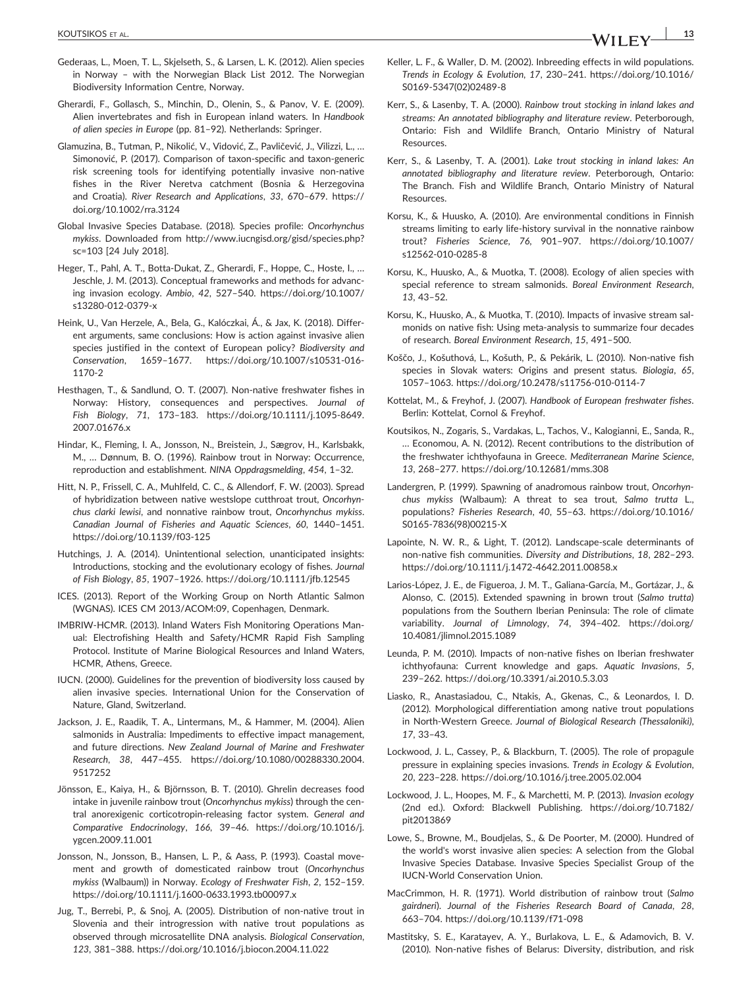- Gederaas, L., Moen, T. L., Skjelseth, S., & Larsen, L. K. (2012). Alien species in Norway – with the Norwegian Black List 2012. The Norwegian Biodiversity Information Centre, Norway.
- Gherardi, F., Gollasch, S., Minchin, D., Olenin, S., & Panov, V. E. (2009). Alien invertebrates and fish in European inland waters. In *Handbook of alien species in Europe* (pp. 81–92). Netherlands: Springer.
- Glamuzina, B., Tutman, P., Nikolić, V., Vidović, Z., Pavličević, J., Vilizzi, L., … Simonović, P. (2017). Comparison of taxon‐specific and taxon‐generic risk screening tools for identifying potentially invasive non-native fishes in the River Neretva catchment (Bosnia & Herzegovina and Croatia). *River Research and Applications*, *33*, 670–679. [https://](https://doi.org/10.1002/rra.3124) [doi.org/10.1002/rra.3124](https://doi.org/10.1002/rra.3124)
- Global Invasive Species Database. (2018). Species profile: *Oncorhynchus mykiss*. Downloaded from [http://www.iucngisd.org/gisd/species.php?](http://www.iucngisd.org/gisd/species.php?sc=103) [sc=103](http://www.iucngisd.org/gisd/species.php?sc=103) [24 July 2018].
- Heger, T., Pahl, A. T., Botta‐Dukat, Z., Gherardi, F., Hoppe, C., Hoste, I., … Jeschle, J. M. (2013). Conceptual frameworks and methods for advancing invasion ecology. *Ambio*, *42*, 527–540. [https://doi.org/10.1007/](https://doi.org/10.1007/s13280-012-0379-x) [s13280](https://doi.org/10.1007/s13280-012-0379-x)‐012‐0379‐x
- Heink, U., Van Herzele, A., Bela, G., Kalóczkai, Á., & Jax, K. (2018). Different arguments, same conclusions: How is action against invasive alien species justified in the context of European policy? *Biodiversity and Conservation*, 1659–1677. [https://doi.org/10.1007/s10531](https://doi.org/10.1007/s10531-016-1170-2)‐016‐ [1170](https://doi.org/10.1007/s10531-016-1170-2)‐2
- Hesthagen, T., & Sandlund, O. T. (2007). Non‐native freshwater fishes in Norway: History, consequences and perspectives. *Journal of Fish Biology*, *71*, 173–183. [https://doi.org/10.1111/j.1095](https://doi.org/10.1111/j.1095-8649.2007.01676.x)‐8649. [2007.01676.x](https://doi.org/10.1111/j.1095-8649.2007.01676.x)
- Hindar, K., Fleming, I. A., Jonsson, N., Breistein, J., Sægrov, H., Karlsbakk, M., … Dønnum, B. O. (1996). Rainbow trout in Norway: Occurrence, reproduction and establishment. *NINA Oppdragsmelding*, *454*, 1–32.
- Hitt, N. P., Frissell, C. A., Muhlfeld, C. C., & Allendorf, F. W. (2003). Spread of hybridization between native westslope cutthroat trout, *Oncorhynchus clarki lewisi*, and nonnative rainbow trout, *Oncorhynchus mykiss*. *Canadian Journal of Fisheries and Aquatic Sciences*, *60*, 1440–1451. [https://doi.org/10.1139/f03](https://doi.org/10.1139/f03-125)‐125
- Hutchings, J. A. (2014). Unintentional selection, unanticipated insights: Introductions, stocking and the evolutionary ecology of fishes. *Journal of Fish Biology*, *85*, 1907–1926.<https://doi.org/10.1111/jfb.12545>
- ICES. (2013). Report of the Working Group on North Atlantic Salmon (WGNAS). ICES CM 2013/ACOM:09, Copenhagen, Denmark.
- IMBRIW‐HCMR. (2013). Inland Waters Fish Monitoring Operations Manual: Electrofishing Health and Safety/HCMR Rapid Fish Sampling Protocol. Institute of Marine Biological Resources and Inland Waters, HCMR, Athens, Greece.
- IUCN. (2000). Guidelines for the prevention of biodiversity loss caused by alien invasive species. International Union for the Conservation of Nature, Gland, Switzerland.
- Jackson, J. E., Raadik, T. A., Lintermans, M., & Hammer, M. (2004). Alien salmonids in Australia: Impediments to effective impact management, and future directions. *New Zealand Journal of Marine and Freshwater Research*, *38*, 447–455. [https://doi.org/10.1080/00288330.2004.](https://doi.org/10.1080/00288330.2004.9517252) [9517252](https://doi.org/10.1080/00288330.2004.9517252)
- Jönsson, E., Kaiya, H., & Björnsson, B. T. (2010). Ghrelin decreases food intake in juvenile rainbow trout (*Oncorhynchus mykiss*) through the central anorexigenic corticotropin‐releasing factor system. *General and Comparative Endocrinology*, *166*, 39–46. [https://doi.org/10.1016/j.](https://doi.org/10.1016/j.ygcen.2009.11.001) [ygcen.2009.11.001](https://doi.org/10.1016/j.ygcen.2009.11.001)
- Jonsson, N., Jonsson, B., Hansen, L. P., & Aass, P. (1993). Coastal movement and growth of domesticated rainbow trout (*Oncorhynchus mykiss* (Walbaum)) in Norway. *Ecology of Freshwater Fish*, *2*, 152–159. [https://doi.org/10.1111/j.1600](https://doi.org/10.1111/j.1600-0633.1993.tb00097.x)‐0633.1993.tb00097.x
- Jug, T., Berrebi, P., & Snoj, A. (2005). Distribution of non‐native trout in Slovenia and their introgression with native trout populations as observed through microsatellite DNA analysis. *Biological Conservation*, *123*, 381–388.<https://doi.org/10.1016/j.biocon.2004.11.022>
- Keller, L. F., & Waller, D. M. (2002). Inbreeding effects in wild populations. *Trends in Ecology & Evolution*, *17*, 230–241. [https://doi.org/10.1016/](https://doi.org/10.1016/S0169-5347(02)02489-8) S0169‐[5347\(02\)02489](https://doi.org/10.1016/S0169-5347(02)02489-8)‐8
- Kerr, S., & Lasenby, T. A. (2000). *Rainbow trout stocking in inland lakes and streams: An annotated bibliography and literature review*. Peterborough, Ontario: Fish and Wildlife Branch, Ontario Ministry of Natural Resources.
- Kerr, S., & Lasenby, T. A. (2001). *Lake trout stocking in inland lakes: An annotated bibliography and literature review*. Peterborough, Ontario: The Branch. Fish and Wildlife Branch, Ontario Ministry of Natural Resources.
- Korsu, K., & Huusko, A. (2010). Are environmental conditions in Finnish streams limiting to early life‐history survival in the nonnative rainbow trout? *Fisheries Science*, *76*, 901–907. [https://doi.org/10.1007/](https://doi.org/10.1007/s12562-010-0285-8) [s12562](https://doi.org/10.1007/s12562-010-0285-8)‐010‐0285‐8
- Korsu, K., Huusko, A., & Muotka, T. (2008). Ecology of alien species with special reference to stream salmonids. *Boreal Environment Research*, *13*, 43–52.
- Korsu, K., Huusko, A., & Muotka, T. (2010). Impacts of invasive stream salmonids on native fish: Using meta‐analysis to summarize four decades of research. *Boreal Environment Research*, *15*, 491–500.
- Koščo, J., Košuthová, L., Košuth, P., & Pekárik, L. (2010). Non‐native fish species in Slovak waters: Origins and present status. *Biologia*, *65*, 1057–1063. [https://doi.org/10.2478/s11756](https://doi.org/10.2478/s11756-010-0114-7)‐010‐0114‐7
- Kottelat, M., & Freyhof, J. (2007). *Handbook of European freshwater fishes*. Berlin: Kottelat, Cornol & Freyhof.
- Koutsikos, N., Zogaris, S., Vardakas, L., Tachos, V., Kalogianni, E., Sanda, R., … Economou, A. N. (2012). Recent contributions to the distribution of the freshwater ichthyofauna in Greece. *Mediterranean Marine Science*, *13*, 268–277.<https://doi.org/10.12681/mms.308>
- Landergren, P. (1999). Spawning of anadromous rainbow trout, *Oncorhynchus mykiss* (Walbaum): A threat to sea trout, *Salmo trutta* L., populations? *Fisheries Research*, *40*, 55–63. [https://doi.org/10.1016/](https://doi.org/10.1016/S0165-7836(98)00215-X) S0165‐[7836\(98\)00215](https://doi.org/10.1016/S0165-7836(98)00215-X)‐X
- Lapointe, N. W. R., & Light, T. (2012). Landscape-scale determinants of non‐native fish communities. *Diversity and Distributions*, *18*, 282–293. [https://doi.org/10.1111/j.1472](https://doi.org/10.1111/j.1472-4642.2011.00858.x)‐4642.2011.00858.x
- Larios‐López, J. E., de Figueroa, J. M. T., Galiana‐García, M., Gortázar, J., & Alonso, C. (2015). Extended spawning in brown trout (*Salmo trutta*) populations from the Southern Iberian Peninsula: The role of climate variability. *Journal of Limnology*, *74*, 394–402. [https://doi.org/](https://doi.org/10.4081/jlimnol.2015.1089) [10.4081/jlimnol.2015.1089](https://doi.org/10.4081/jlimnol.2015.1089)
- Leunda, P. M. (2010). Impacts of non‐native fishes on Iberian freshwater ichthyofauna: Current knowledge and gaps. *Aquatic Invasions*, *5*, 239–262.<https://doi.org/10.3391/ai.2010.5.3.03>
- Liasko, R., Anastasiadou, C., Ntakis, A., Gkenas, C., & Leonardos, I. D. (2012). Morphological differentiation among native trout populations in North‐Western Greece. *Journal of Biological Research (Thessaloniki)*, *17*, 33–43.
- Lockwood, J. L., Cassey, P., & Blackburn, T. (2005). The role of propagule pressure in explaining species invasions. *Trends in Ecology & Evolution*, *20*, 223–228.<https://doi.org/10.1016/j.tree.2005.02.004>
- Lockwood, J. L., Hoopes, M. F., & Marchetti, M. P. (2013). *Invasion ecology* (2nd ed.). Oxford: Blackwell Publishing. [https://doi.org/10.7182/](https://doi.org/10.7182/pit2013869) [pit2013869](https://doi.org/10.7182/pit2013869)
- Lowe, S., Browne, M., Boudjelas, S., & De Poorter, M. (2000). Hundred of the world's worst invasive alien species: A selection from the Global Invasive Species Database. Invasive Species Specialist Group of the IUCN‐World Conservation Union.
- MacCrimmon, H. R. (1971). World distribution of rainbow trout (*Salmo gairdneri*). *Journal of the Fisheries Research Board of Canada*, *28*, 663–704. [https://doi.org/10.1139/f71](https://doi.org/10.1139/f71-098)‐098
- Mastitsky, S. E., Karatayev, A. Y., Burlakova, L. E., & Adamovich, B. V. (2010). Non‐native fishes of Belarus: Diversity, distribution, and risk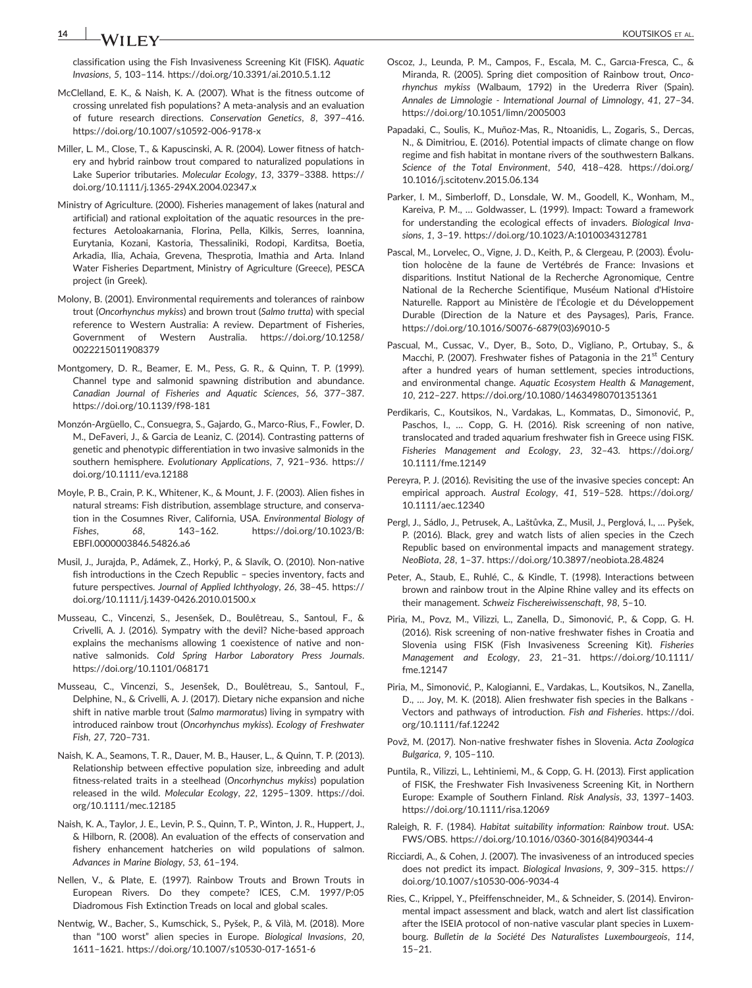## **14** INVESTIGATION COULD NOT THE SERVICE OF ALL COULD NOT THE SERVICE OF ALL COULD NOT SERVICE OF ALL COULD NOT THE SERVICE OF ALL COULD NOT THE SERVICE OF ALL COULD NOT THE SERVICE OF ALL COULD NOT THE SERVICE OF ALL COUL

classification using the Fish Invasiveness Screening Kit (FISK). *Aquatic Invasions*, *5*, 103–114.<https://doi.org/10.3391/ai.2010.5.1.12>

- McClelland, E. K., & Naish, K. A. (2007). What is the fitness outcome of crossing unrelated fish populations? A meta‐analysis and an evaluation of future research directions. *Conservation Genetics*, *8*, 397–416. [https://doi.org/10.1007/s10592](https://doi.org/10.1007/s10592-006-9178-x)‐006‐9178‐x
- Miller, L. M., Close, T., & Kapuscinski, A. R. (2004). Lower fitness of hatchery and hybrid rainbow trout compared to naturalized populations in Lake Superior tributaries. *Molecular Ecology*, *13*, 3379–3388. [https://](https://doi.org/10.1111/j.1365-294X.2004.02347.x) [doi.org/10.1111/j.1365](https://doi.org/10.1111/j.1365-294X.2004.02347.x)‐294X.2004.02347.x
- Ministry of Agriculture. (2000). Fisheries management of lakes (natural and artificial) and rational exploitation of the aquatic resources in the prefectures Aetoloakarnania, Florina, Pella, Kilkis, Serres, Ioannina, Eurytania, Kozani, Kastoria, Thessaliniki, Rodopi, Karditsa, Boetia, Arkadia, Ilia, Achaia, Grevena, Thesprotia, Imathia and Arta. Inland Water Fisheries Department, Ministry of Agriculture (Greece), PESCA project (in Greek).
- Molony, B. (2001). Environmental requirements and tolerances of rainbow trout (*Oncorhynchus mykiss*) and brown trout (*Salmo trutta*) with special reference to Western Australia: A review. Department of Fisheries, Government of Western Australia. [https://doi.org/10.1258/](https://doi.org/10.1258/0022215011908379) [0022215011908379](https://doi.org/10.1258/0022215011908379)
- Montgomery, D. R., Beamer, E. M., Pess, G. R., & Quinn, T. P. (1999). Channel type and salmonid spawning distribution and abundance. *Canadian Journal of Fisheries and Aquatic Sciences*, *56*, 377–387. [https://doi.org/10.1139/f98](https://doi.org/10.1139/f98-181)‐181
- Monzón‐Argüello, C., Consuegra, S., Gajardo, G., Marco‐Rius, F., Fowler, D. M., DeFaveri, J., & Garcia de Leaniz, C. (2014). Contrasting patterns of genetic and phenotypic differentiation in two invasive salmonids in the southern hemisphere. *Evolutionary Applications*, *7*, 921–936. [https://](https://doi.org/10.1111/eva.12188) [doi.org/10.1111/eva.12188](https://doi.org/10.1111/eva.12188)
- Moyle, P. B., Crain, P. K., Whitener, K., & Mount, J. F. (2003). Alien fishes in natural streams: Fish distribution, assemblage structure, and conservation in the Cosumnes River, California, USA. *Environmental Biology of Fishes*, *68*, 143–162. [https://doi.org/10.1023/B:](https://doi.org/10.1023/B:EBFI.0000003846.54826.a6) [EBFI.0000003846.54826.a6](https://doi.org/10.1023/B:EBFI.0000003846.54826.a6)
- Musil, J., Jurajda, P., Adámek, Z., Horký, P., & Slavík, O. (2010). Non‐native fish introductions in the Czech Republic – species inventory, facts and future perspectives. *Journal of Applied Ichthyology*, *26*, 38–45. [https://](https://doi.org/10.1111/j.1439-0426.2010.01500.x) [doi.org/10.1111/j.1439](https://doi.org/10.1111/j.1439-0426.2010.01500.x)‐0426.2010.01500.x
- Musseau, C., Vincenzi, S., Jesenšek, D., Boulêtreau, S., Santoul, F., & Crivelli, A. J. (2016). Sympatry with the devil? Niche‐based approach explains the mechanisms allowing 1 coexistence of native and nonnative salmonids. *Cold Spring Harbor Laboratory Press Journals*. <https://doi.org/10.1101/068171>
- Musseau, C., Vincenzi, S., Jesenšek, D., Boulêtreau, S., Santoul, F., Delphine, N., & Crivelli, A. J. (2017). Dietary niche expansion and niche shift in native marble trout (*Salmo marmoratus*) living in sympatry with introduced rainbow trout (*Oncorhynchus mykiss*). *Ecology of Freshwater Fish*, *27*, 720–731.
- Naish, K. A., Seamons, T. R., Dauer, M. B., Hauser, L., & Quinn, T. P. (2013). Relationship between effective population size, inbreeding and adult fitness‐related traits in a steelhead (*Oncorhynchus mykiss*) population released in the wild. *Molecular Ecology*, *22*, 1295–1309. [https://doi.](https://doi.org/10.1111/mec.12185) [org/10.1111/mec.12185](https://doi.org/10.1111/mec.12185)
- Naish, K. A., Taylor, J. E., Levin, P. S., Quinn, T. P., Winton, J. R., Huppert, J., & Hilborn, R. (2008). An evaluation of the effects of conservation and fishery enhancement hatcheries on wild populations of salmon. *Advances in Marine Biology*, *53*, 61–194.
- Nellen, V., & Plate, E. (1997). Rainbow Trouts and Brown Trouts in European Rivers. Do they compete? lCES, C.M. 1997/P:05 Diadromous Fish Extinction Treads on local and global scales.
- Nentwig, W., Bacher, S., Kumschick, S., Pyšek, P., & Vilà, M. (2018). More than "100 worst" alien species in Europe. *Biological Invasions*, *20*, 1611–1621. [https://doi.org/10.1007/s10530](https://doi.org/10.1007/s10530-017-1651-6)‐017‐1651‐6
- Oscoz, J., Leunda, P. M., Campos, F., Escala, M. C., Garcıa‐Fresca, C., & Miranda, R. (2005). Spring diet composition of Rainbow trout, *Oncorhynchus mykiss* (Walbaum, 1792) in the Urederra River (Spain). *Annales de Limnologie ‐ International Journal of Limnology*, *41*, 27–34. <https://doi.org/10.1051/limn/2005003>
- Papadaki, C., Soulis, K., Muñoz‐Mas, R., Ntoanidis, L., Zogaris, S., Dercas, N., & Dimitriou, E. (2016). Potential impacts of climate change on flow regime and fish habitat in montane rivers of the southwestern Balkans. *Science of the Total Environment*, *540*, 418–428. [https://doi.org/](https://doi.org/10.1016/j.scitotenv.2015.06.134) [10.1016/j.scitotenv.2015.06.134](https://doi.org/10.1016/j.scitotenv.2015.06.134)
- Parker, I. M., Simberloff, D., Lonsdale, W. M., Goodell, K., Wonham, M., Kareiva, P. M., … Goldwasser, L. (1999). Impact: Toward a framework for understanding the ecological effects of invaders. *Biological Invasions*, *1*, 3–19.<https://doi.org/10.1023/A:1010034312781>
- Pascal, M., Lorvelec, O., Vigne, J. D., Keith, P., & Clergeau, P. (2003). Évolution holocène de la faune de Vertébrés de France: Invasions et disparitions. Institut National de la Recherche Agronomique, Centre National de la Recherche Scientifique, Muséum National d'Histoire Naturelle. Rapport au Ministère de l'Écologie et du Développement Durable (Direction de la Nature et des Paysages), Paris, France. [https://doi.org/10.1016/S0076](https://doi.org/10.1016/S0076-6879(03)69010-5)‐6879(03)69010‐5
- Pascual, M., Cussac, V., Dyer, B., Soto, D., Vigliano, P., Ortubay, S., & Macchi, P. (2007). Freshwater fishes of Patagonia in the  $21<sup>st</sup>$  Century after a hundred years of human settlement, species introductions, and environmental change. *Aquatic Ecosystem Health & Management*, *10*, 212–227.<https://doi.org/10.1080/14634980701351361>
- Perdikaris, C., Koutsikos, N., Vardakas, L., Kommatas, D., Simonović, P., Paschos, I., … Copp, G. H. (2016). Risk screening of non native, translocated and traded aquarium freshwater fish in Greece using FISK. *Fisheries Management and Ecology*, *23*, 32–43. [https://doi.org/](https://doi.org/10.1111/fme.12149) [10.1111/fme.12149](https://doi.org/10.1111/fme.12149)
- Pereyra, P. J. (2016). Revisiting the use of the invasive species concept: An empirical approach. *Austral Ecology*, *41*, 519–528. [https://doi.org/](https://doi.org/10.1111/aec.12340) [10.1111/aec.12340](https://doi.org/10.1111/aec.12340)
- Pergl, J., Sádlo, J., Petrusek, A., Laštůvka, Z., Musil, J., Perglová, I., … Pyšek, P. (2016). Black, grey and watch lists of alien species in the Czech Republic based on environmental impacts and management strategy. *NeoBiota*, *28*, 1–37.<https://doi.org/10.3897/neobiota.28.4824>
- Peter, A., Staub, E., Ruhlé, C., & Kindle, T. (1998). Interactions between brown and rainbow trout in the Alpine Rhine valley and its effects on their management. *Schweiz Fischereiwissenschaft*, *98*, 5–10.
- Piria, M., Povz, M., Vilizzi, L., Zanella, D., Simonović, P., & Copp, G. H. (2016). Risk screening of non-native freshwater fishes in Croatia and Slovenia using FISK (Fish Invasiveness Screening Kit). *Fisheries Management and Ecology*, *23*, 21–31. [https://doi.org/10.1111/](https://doi.org/10.1111/fme.12147) [fme.12147](https://doi.org/10.1111/fme.12147)
- Piria, M., Simonović, P., Kalogianni, E., Vardakas, L., Koutsikos, N., Zanella, D., … Joy, M. K. (2018). Alien freshwater fish species in the Balkans ‐ Vectors and pathways of introduction. *Fish and Fisheries*. [https://doi.](https://doi.org/10.1111/faf.12242) [org/10.1111/faf.12242](https://doi.org/10.1111/faf.12242)
- Povž, M. (2017). Non‐native freshwater fishes in Slovenia. *Acta Zoologica Bulgarica*, *9*, 105–110.
- Puntila, R., Vilizzi, L., Lehtiniemi, M., & Copp, G. H. (2013). First application of FISK, the Freshwater Fish Invasiveness Screening Kit, in Northern Europe: Example of Southern Finland. *Risk Analysis*, *33*, 1397–1403. <https://doi.org/10.1111/risa.12069>
- Raleigh, R. F. (1984). *Habitat suitability information: Rainbow trout*. USA: FWS/OBS. [https://doi.org/10.1016/0360](https://doi.org/10.1016/0360-3016(84)90344-4)‐3016(84)90344‐4
- Ricciardi, A., & Cohen, J. (2007). The invasiveness of an introduced species does not predict its impact. *Biological Invasions*, *9*, 309–315. [https://](https://doi.org/10.1007/s10530-006-9034-4) [doi.org/10.1007/s10530](https://doi.org/10.1007/s10530-006-9034-4)‐006‐9034‐4
- Ries, C., Krippel, Y., Pfeiffenschneider, M., & Schneider, S. (2014). Environmental impact assessment and black, watch and alert list classification after the ISEIA protocol of non‐native vascular plant species in Luxembourg. *Bulletin de la Société Des Naturalistes Luxembourgeois*, *114*, 15–21.